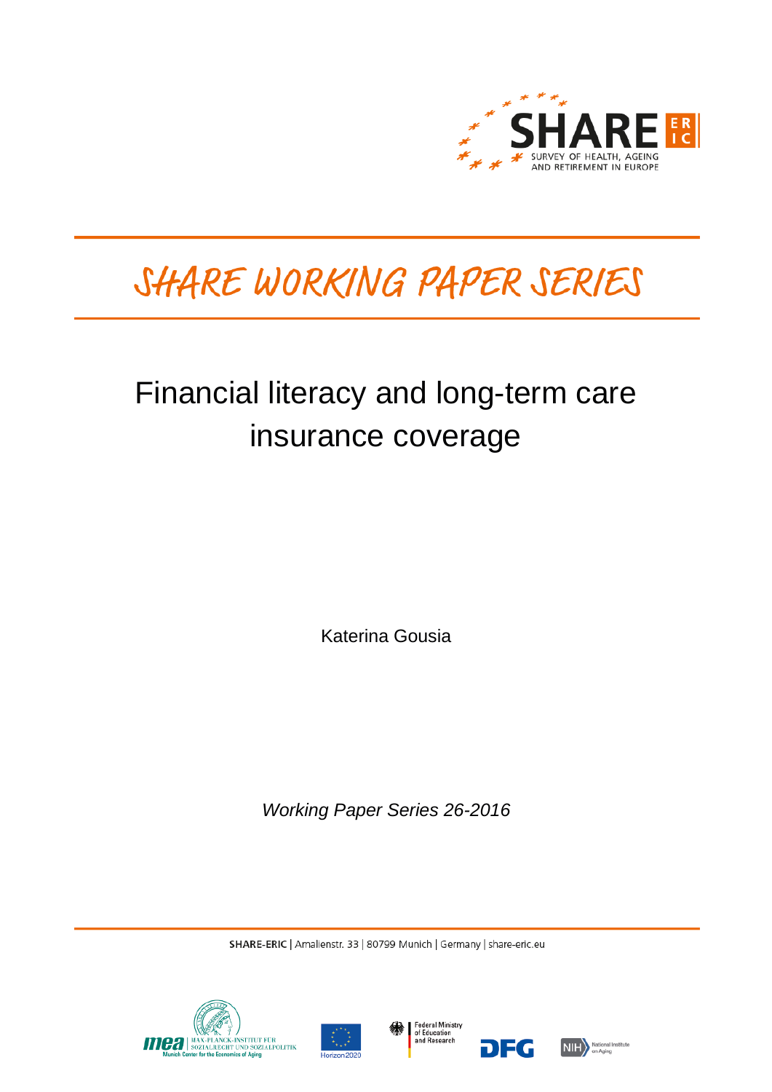

# SHARE WORKING PAPER SERIES

## Financial literacy and long-term care insurance coverage

Katerina Gousia

*Working Paper Series 26-2016*

SHARE-ERIC | Amalienstr. 33 | 80799 Munich | Germany | share-eric.eu







DEG

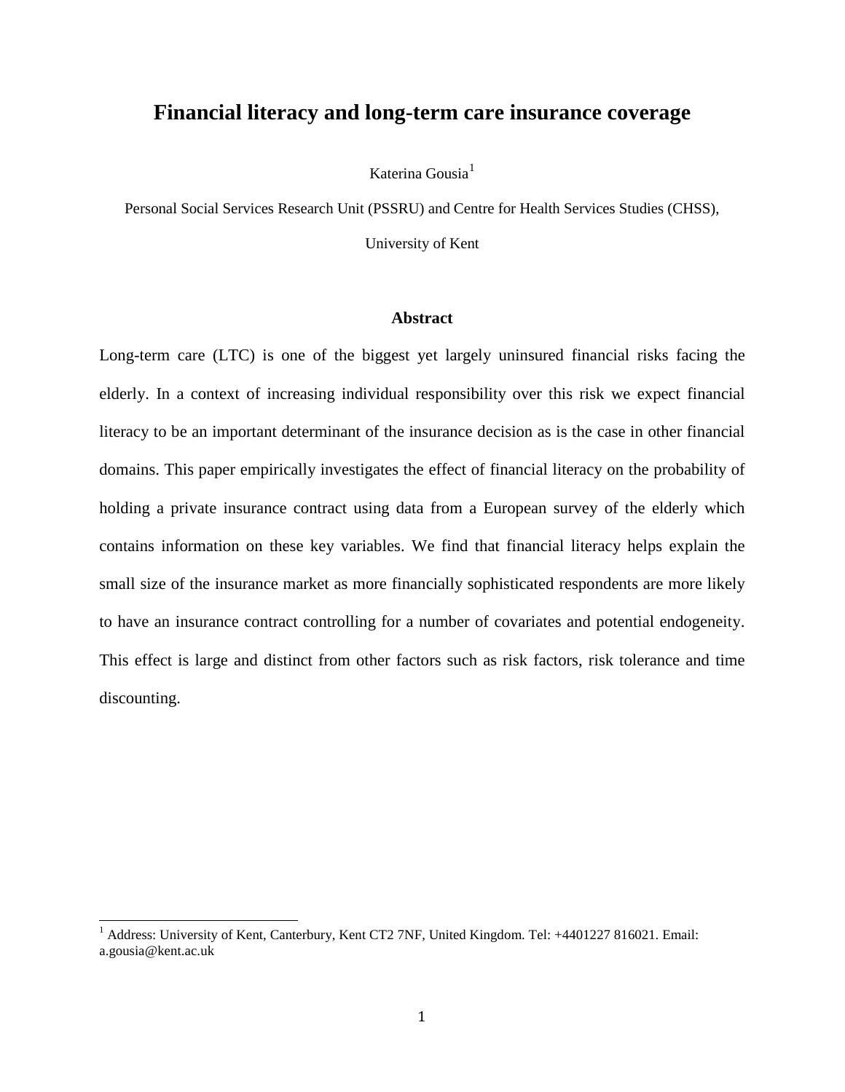### **Financial literacy and long-term care insurance coverage**

Katerina Gousia $<sup>1</sup>$  $<sup>1</sup>$  $<sup>1</sup>$ </sup>

Personal Social Services Research Unit (PSSRU) and Centre for Health Services Studies (CHSS),

University of Kent

#### **Abstract**

Long-term care (LTC) is one of the biggest yet largely uninsured financial risks facing the elderly. In a context of increasing individual responsibility over this risk we expect financial literacy to be an important determinant of the insurance decision as is the case in other financial domains. This paper empirically investigates the effect of financial literacy on the probability of holding a private insurance contract using data from a European survey of the elderly which contains information on these key variables. We find that financial literacy helps explain the small size of the insurance market as more financially sophisticated respondents are more likely to have an insurance contract controlling for a number of covariates and potential endogeneity. This effect is large and distinct from other factors such as risk factors, risk tolerance and time discounting.

<span id="page-1-0"></span><sup>&</sup>lt;sup>1</sup> Address: University of Kent, Canterbury, Kent CT2 7NF, United Kingdom. Tel: +4401227 816021. Email: a.gousia@kent.ac.uk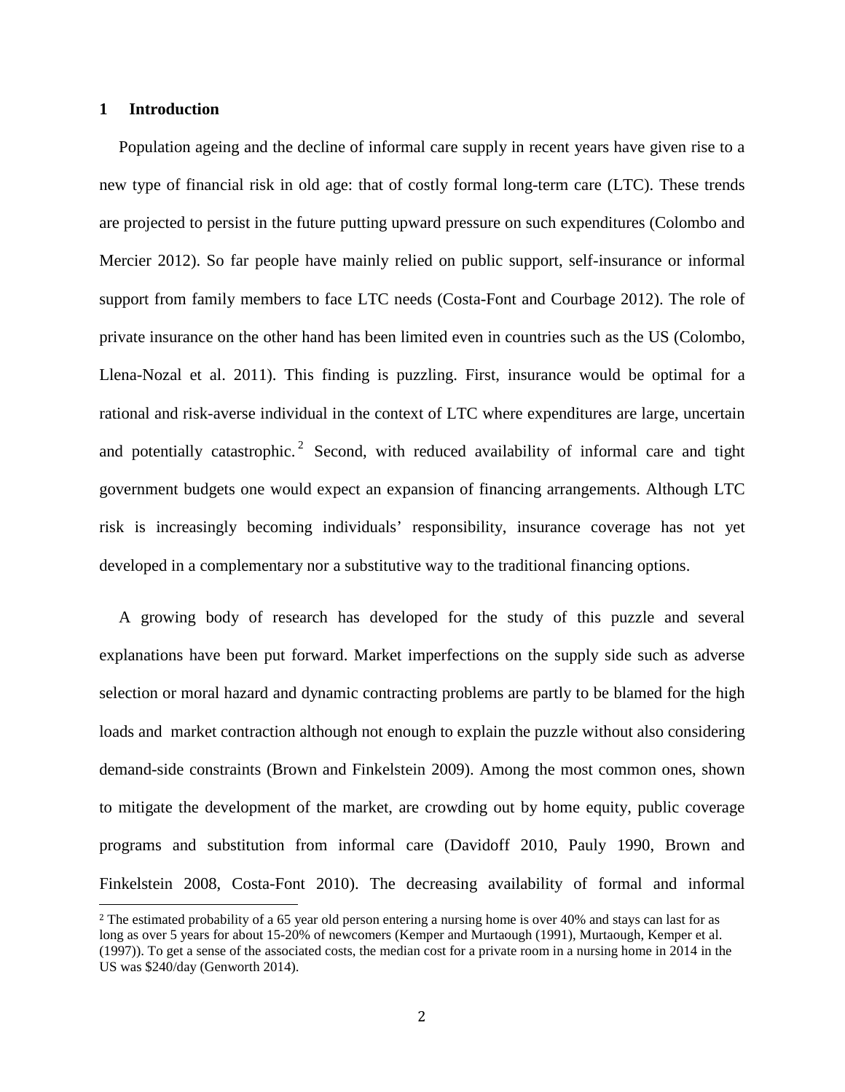#### **1 Introduction**

Population ageing and the decline of informal care supply in recent years have given rise to a new type of financial risk in old age: that of costly formal long-term care (LTC). These trends are projected to persist in the future putting upward pressure on such expenditures [\(Colombo and](#page-27-0)  [Mercier 2012\)](#page-27-0). So far people have mainly relied on public support, self-insurance or informal support from family members to face LTC needs [\(Costa-Font and Courbage 2012\)](#page-27-1). The role of private insurance on the other hand has been limited even in countries such as the US [\(Colombo,](#page-27-2)  [Llena-Nozal et al. 2011\)](#page-27-2). This finding is puzzling. First, insurance would be optimal for a rational and risk-averse individual in the context of LTC where expenditures are large, uncertain and potentially catastrophic.<sup>[2](#page-2-0)</sup> Second, with reduced availability of informal care and tight government budgets one would expect an expansion of financing arrangements. Although LTC risk is increasingly becoming individuals' responsibility, insurance coverage has not yet developed in a complementary nor a substitutive way to the traditional financing options.

A growing body of research has developed for the study of this puzzle and several explanations have been put forward. Market imperfections on the supply side such as adverse selection or moral hazard and dynamic contracting problems are partly to be blamed for the high loads and market contraction although not enough to explain the puzzle without also considering demand-side constraints [\(Brown and Finkelstein 2009\)](#page-26-0). Among the most common ones, shown to mitigate the development of the market, are crowding out by home equity, public coverage programs and substitution from informal care [\(Davidoff 2010,](#page-27-3) [Pauly 1990,](#page-28-0) [Brown and](#page-26-1)  [Finkelstein 2008,](#page-26-1) [Costa-Font 2010\)](#page-27-4). The decreasing availability of formal and informal

<span id="page-2-0"></span><sup>&</sup>lt;sup>2</sup> The estimated probability of a 65 year old person entering a nursing home is over 40% and stays can last for as long as over 5 years for about 15-20% of newcomers (Kemper and Murtaough (1991), Murtaough, Kemper et al. (1997)). To get a sense of the associated costs, the median cost for a private room in a nursing home in 2014 in the US was \$240/day (Genworth 2014).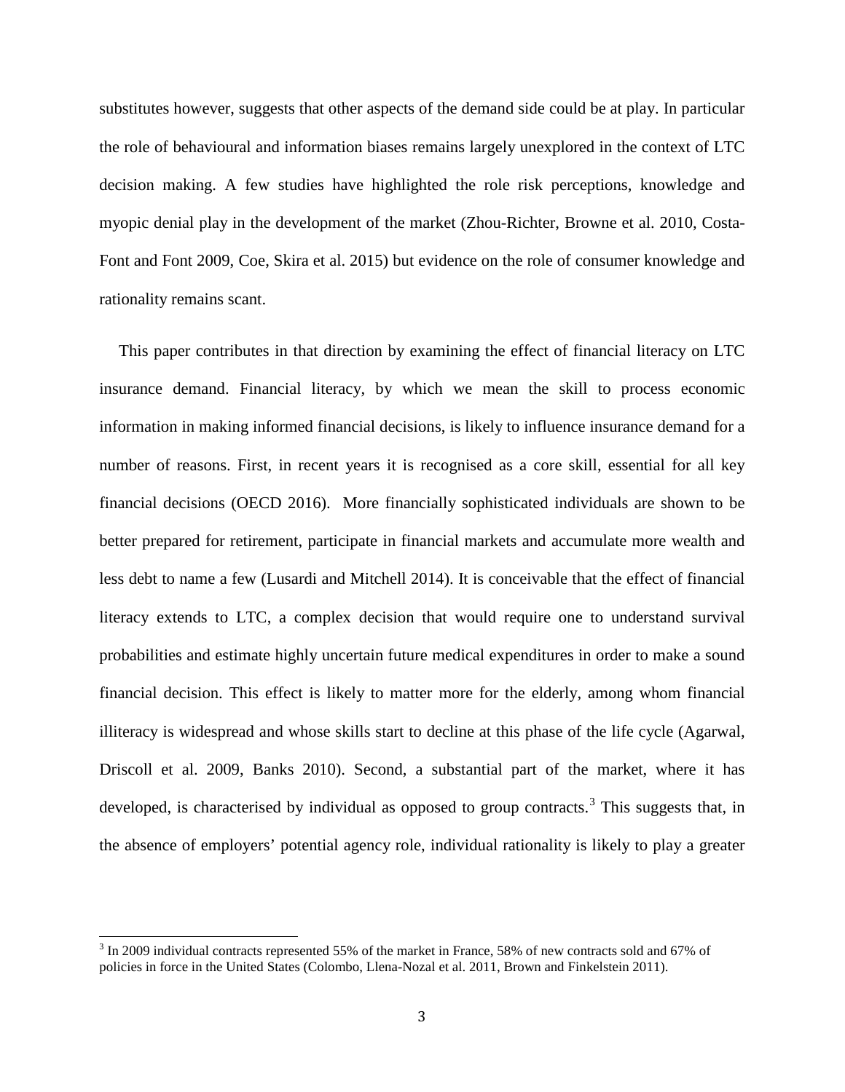substitutes however, suggests that other aspects of the demand side could be at play. In particular the role of behavioural and information biases remains largely unexplored in the context of LTC decision making. A few studies have highlighted the role risk perceptions, knowledge and myopic denial play in the development of the market [\(Zhou-Richter, Browne et al. 2010,](#page-28-1) [Costa-](#page-27-5)[Font and Font 2009,](#page-27-5) [Coe, Skira et al. 2015\)](#page-26-2) but evidence on the role of consumer knowledge and rationality remains scant.

This paper contributes in that direction by examining the effect of financial literacy on LTC insurance demand. Financial literacy, by which we mean the skill to process economic information in making informed financial decisions, is likely to influence insurance demand for a number of reasons. First, in recent years it is recognised as a core skill, essential for all key financial decisions [\(OECD 2016\)](#page-28-2). More financially sophisticated individuals are shown to be better prepared for retirement, participate in financial markets and accumulate more wealth and less debt to name a few [\(Lusardi and Mitchell 2014\)](#page-28-3). It is conceivable that the effect of financial literacy extends to LTC, a complex decision that would require one to understand survival probabilities and estimate highly uncertain future medical expenditures in order to make a sound financial decision. This effect is likely to matter more for the elderly, among whom financial illiteracy is widespread and whose skills start to decline at this phase of the life cycle [\(Agarwal,](#page-26-3)  [Driscoll et al. 2009,](#page-26-3) [Banks 2010\)](#page-26-4). Second, a substantial part of the market, where it has developed, is characterised by individual as opposed to group contracts.<sup>[3](#page-3-0)</sup> This suggests that, in the absence of employers' potential agency role, individual rationality is likely to play a greater

<span id="page-3-0"></span><sup>&</sup>lt;sup>3</sup> In 2009 individual contracts represented 55% of the market in France, 58% of new contracts sold and 67% of policies in force in the United States (Colombo, Llena-Nozal et al. 2011, Brown and Finkelstein 2011).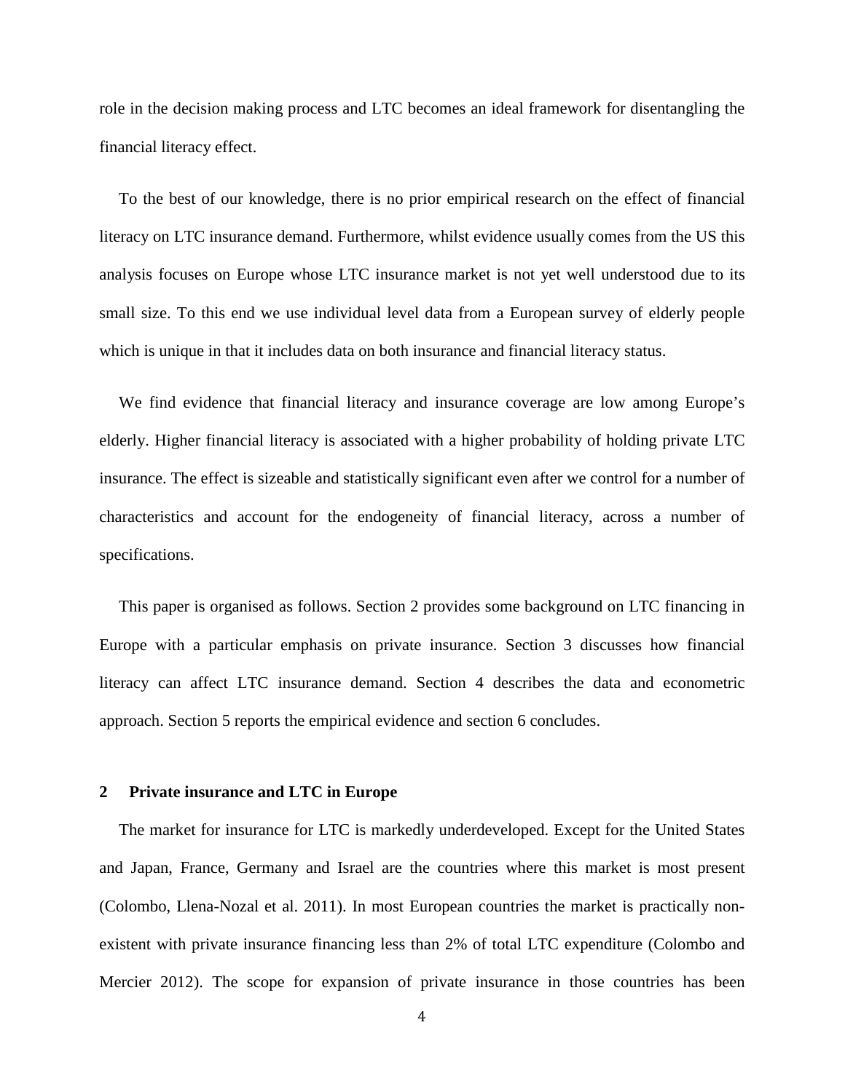role in the decision making process and LTC becomes an ideal framework for disentangling the financial literacy effect.

To the best of our knowledge, there is no prior empirical research on the effect of financial literacy on LTC insurance demand. Furthermore, whilst evidence usually comes from the US this analysis focuses on Europe whose LTC insurance market is not yet well understood due to its small size. To this end we use individual level data from a European survey of elderly people which is unique in that it includes data on both insurance and financial literacy status.

We find evidence that financial literacy and insurance coverage are low among Europe's elderly. Higher financial literacy is associated with a higher probability of holding private LTC insurance. The effect is sizeable and statistically significant even after we control for a number of characteristics and account for the endogeneity of financial literacy, across a number of specifications.

This paper is organised as follows. Section 2 provides some background on LTC financing in Europe with a particular emphasis on private insurance. Section 3 discusses how financial literacy can affect LTC insurance demand. Section 4 describes the data and econometric approach. Section 5 reports the empirical evidence and section 6 concludes.

#### **2 Private insurance and LTC in Europe**

The market for insurance for LTC is markedly underdeveloped. Except for the United States and Japan, France, Germany and Israel are the countries where this market is most present [\(Colombo, Llena-Nozal et al. 2011\)](#page-26-5). In most European countries the market is practically nonexistent with private insurance financing less than 2% of total LTC expenditure [\(Colombo and](#page-27-0)  [Mercier 2012\)](#page-27-0). The scope for expansion of private insurance in those countries has been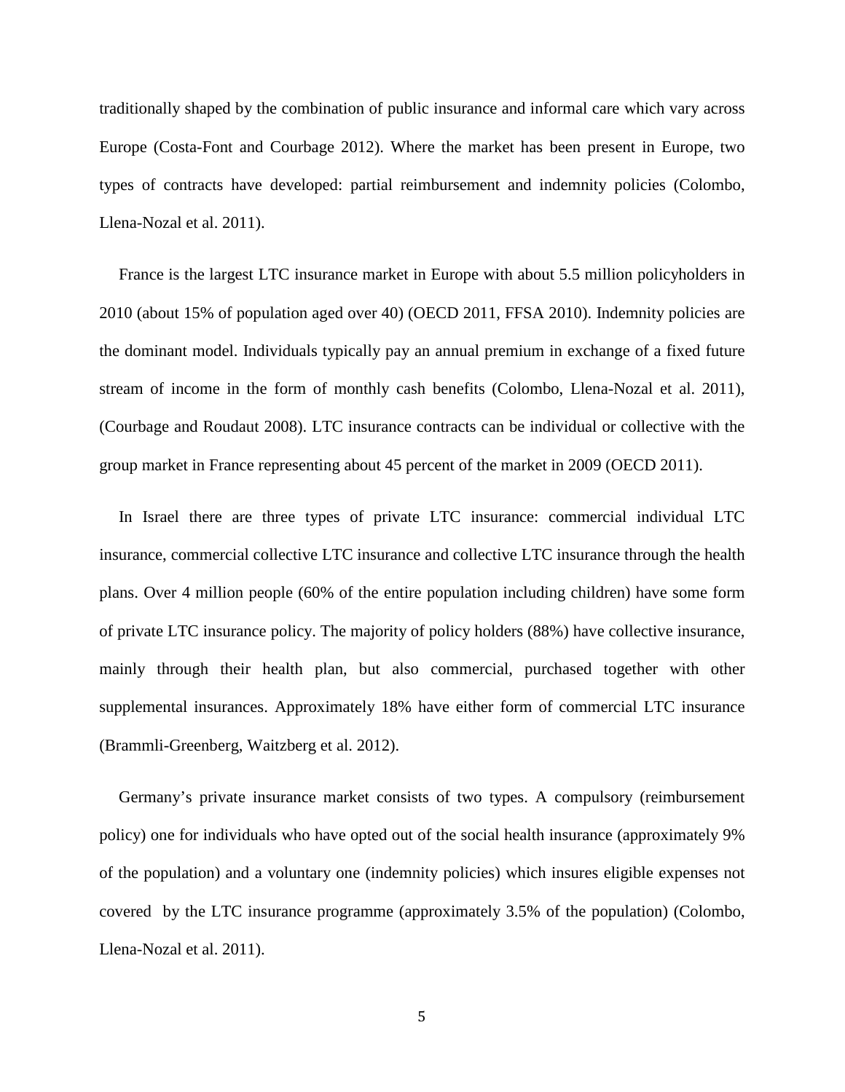traditionally shaped by the combination of public insurance and informal care which vary across Europe [\(Costa-Font and Courbage 2012\)](#page-27-1). Where the market has been present in Europe, two types of contracts have developed: partial reimbursement and indemnity policies [\(Colombo,](#page-26-5)  [Llena-Nozal et al. 2011\)](#page-26-5).

France is the largest LTC insurance market in Europe with about 5.5 million policyholders in 2010 (about 15% of population aged over 40) [\(OECD 2011,](#page-28-4) [FFSA 2010\)](#page-27-6). Indemnity policies are the dominant model. Individuals typically pay an annual premium in exchange of a fixed future stream of income in the form of monthly cash benefits [\(Colombo, Llena-Nozal et al. 2011\)](#page-27-2), [\(Courbage and Roudaut 2008\)](#page-27-7). LTC insurance contracts can be individual or collective with the group market in France representing about 45 percent of the market in 2009 [\(OECD 2011\)](#page-27-8).

In Israel there are three types of private LTC insurance: commercial individual LTC insurance, commercial collective LTC insurance and collective LTC insurance through the health plans. Over 4 million people (60% of the entire population including children) have some form of private LTC insurance policy. The majority of policy holders (88%) have collective insurance, mainly through their health plan, but also commercial, purchased together with other supplemental insurances. Approximately 18% have either form of commercial LTC insurance [\(Brammli-Greenberg, Waitzberg et al. 2012\)](#page-26-6).

Germany's private insurance market consists of two types. A compulsory (reimbursement policy) one for individuals who have opted out of the social health insurance (approximately 9% of the population) and a voluntary one (indemnity policies) which insures eligible expenses not covered by the LTC insurance programme (approximately 3.5% of the population) [\(Colombo,](#page-27-2)  [Llena-Nozal et al. 2011\)](#page-27-2).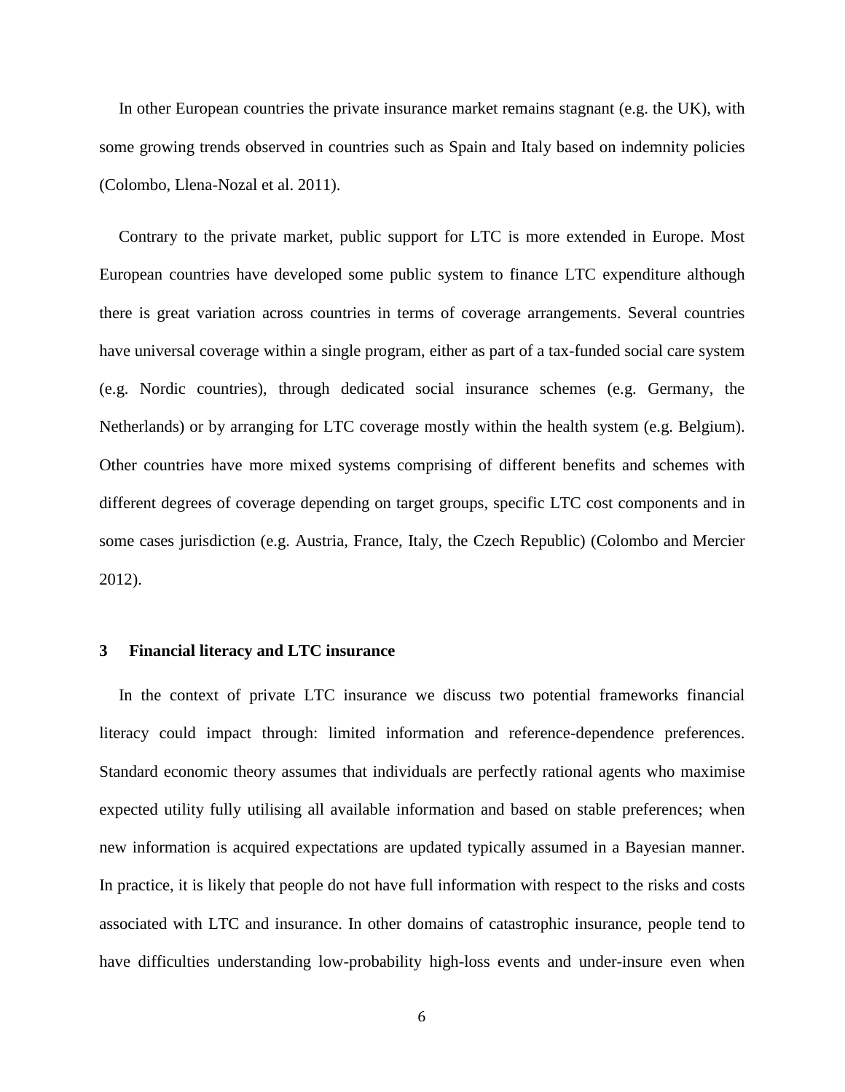In other European countries the private insurance market remains stagnant (e.g. the UK), with some growing trends observed in countries such as Spain and Italy based on indemnity policies [\(Colombo, Llena-Nozal et al. 2011\)](#page-27-2).

Contrary to the private market, public support for LTC is more extended in Europe. Most European countries have developed some public system to finance LTC expenditure although there is great variation across countries in terms of coverage arrangements. Several countries have universal coverage within a single program, either as part of a tax-funded social care system (e.g. Nordic countries), through dedicated social insurance schemes (e.g. Germany, the Netherlands) or by arranging for LTC coverage mostly within the health system (e.g. Belgium). Other countries have more mixed systems comprising of different benefits and schemes with different degrees of coverage depending on target groups, specific LTC cost components and in some cases jurisdiction (e.g. Austria, France, Italy, the Czech Republic) [\(Colombo and Mercier](#page-27-0)  [2012\)](#page-27-0).

#### **3 Financial literacy and LTC insurance**

In the context of private LTC insurance we discuss two potential frameworks financial literacy could impact through: limited information and reference-dependence preferences. Standard economic theory assumes that individuals are perfectly rational agents who maximise expected utility fully utilising all available information and based on stable preferences; when new information is acquired expectations are updated typically assumed in a Bayesian manner. In practice, it is likely that people do not have full information with respect to the risks and costs associated with LTC and insurance. In other domains of catastrophic insurance, people tend to have difficulties understanding low-probability high-loss events and under-insure even when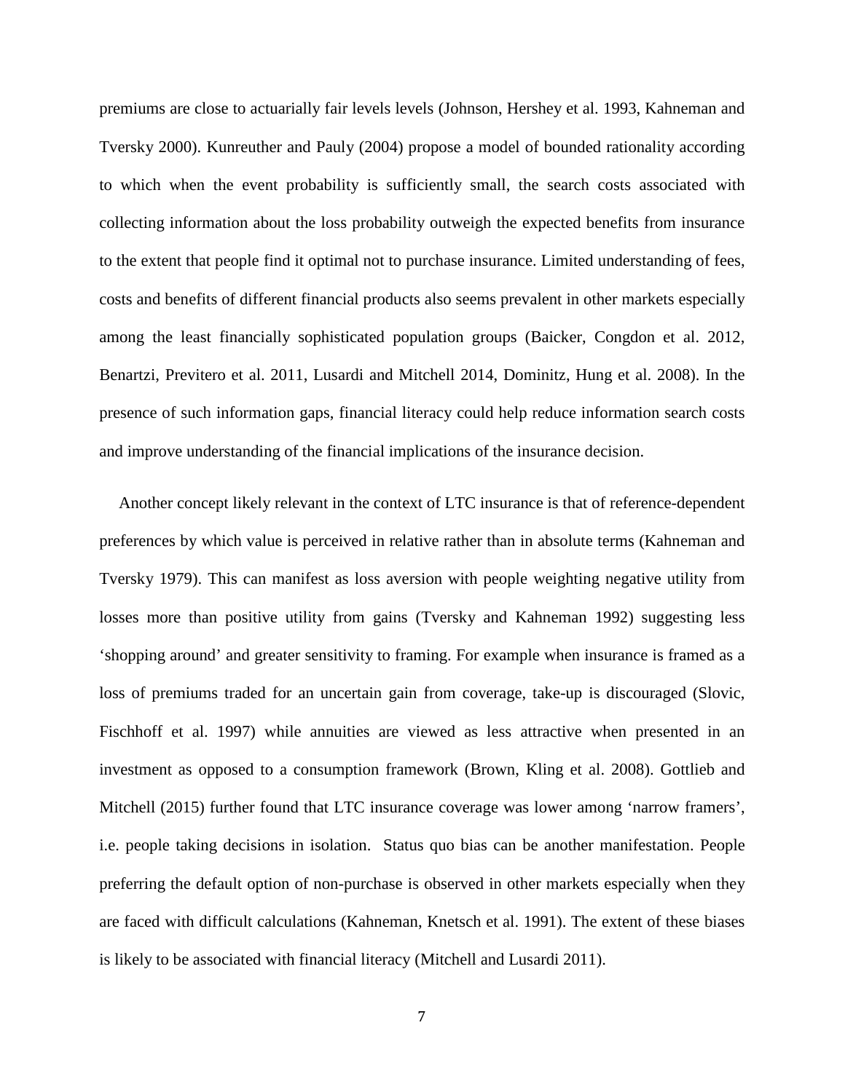premiums are close to actuarially fair levels levels [\(Johnson, Hershey et al. 1993,](#page-28-5) [Kahneman and](#page-28-3)  [Tversky 2000\)](#page-28-3). [Kunreuther and Pauly \(2004\)](#page-28-6) propose a model of bounded rationality according to which when the event probability is sufficiently small, the search costs associated with collecting information about the loss probability outweigh the expected benefits from insurance to the extent that people find it optimal not to purchase insurance. Limited understanding of fees, costs and benefits of different financial products also seems prevalent in other markets especially among the least financially sophisticated population groups [\(Baicker, Congdon et al. 2012,](#page-26-7) [Benartzi, Previtero et al. 2011,](#page-26-8) [Lusardi and Mitchell 2014,](#page-28-3) [Dominitz, Hung et al. 2008\)](#page-27-9). In the presence of such information gaps, financial literacy could help reduce information search costs and improve understanding of the financial implications of the insurance decision.

Another concept likely relevant in the context of LTC insurance is that of reference-dependent preferences by which value is perceived in relative rather than in absolute terms [\(Kahneman and](#page-28-7)  [Tversky 1979\)](#page-28-7). This can manifest as loss aversion with people weighting negative utility from losses more than positive utility from gains [\(Tversky and Kahneman 1992\)](#page-28-8) suggesting less 'shopping around' and greater sensitivity to framing. For example when insurance is framed as a loss of premiums traded for an uncertain gain from coverage, take-up is discouraged [\(Slovic,](#page-28-9)  [Fischhoff et al. 1997\)](#page-28-9) while annuities are viewed as less attractive when presented in an investment as opposed to a consumption framework [\(Brown, Kling et al. 2008\)](#page-26-9). [Gottlieb and](#page-27-10)  [Mitchell \(2015\)](#page-27-10) further found that LTC insurance coverage was lower among 'narrow framers', i.e. people taking decisions in isolation. Status quo bias can be another manifestation. People preferring the default option of non-purchase is observed in other markets especially when they are faced with difficult calculations [\(Kahneman, Knetsch et al. 1991\)](#page-28-10). The extent of these biases is likely to be associated with financial literacy [\(Mitchell and Lusardi 2011\)](#page-28-11).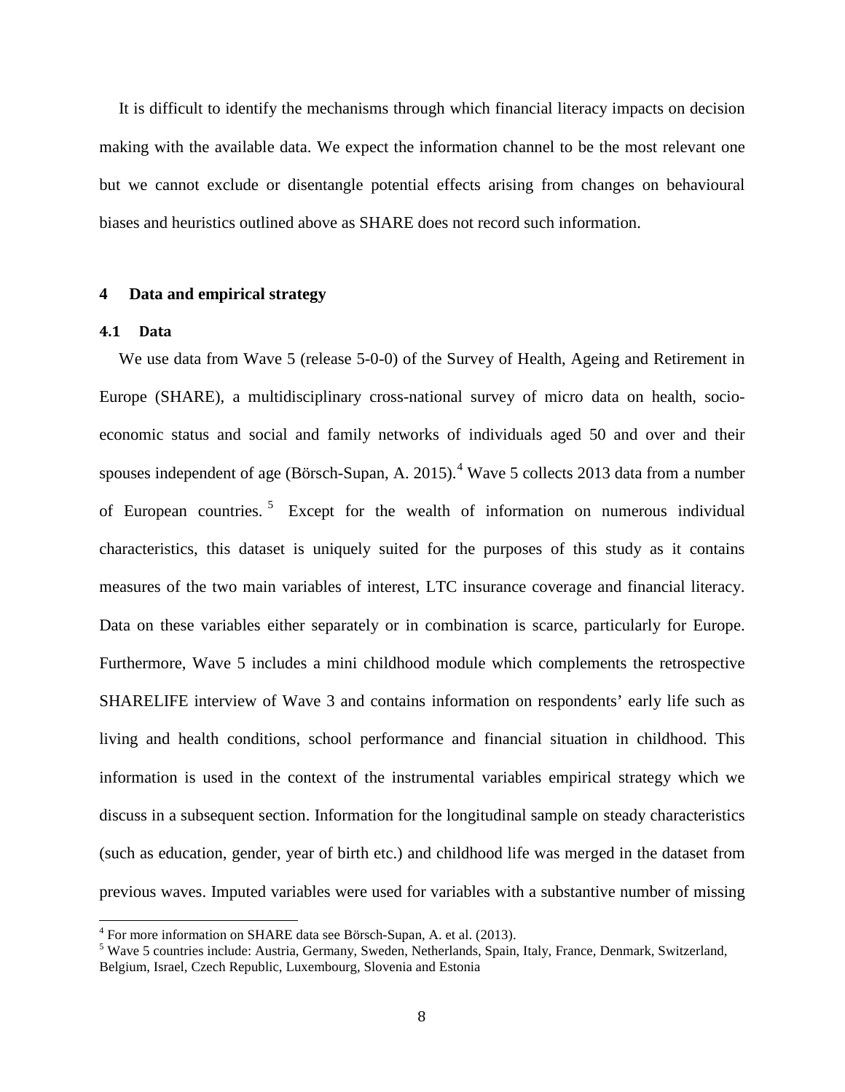It is difficult to identify the mechanisms through which financial literacy impacts on decision making with the available data. We expect the information channel to be the most relevant one but we cannot exclude or disentangle potential effects arising from changes on behavioural biases and heuristics outlined above as SHARE does not record such information.

#### **4 Data and empirical strategy**

#### **4.1 Data**

We use data from Wave 5 (release 5-0-0) of the Survey of Health, Ageing and Retirement in Europe (SHARE), a multidisciplinary cross-national survey of micro data on health, socioeconomic status and social and family networks of individuals aged 50 and over and their spouses independent of age (Börsch-Supan, A. 2015).<sup>[4](#page-8-0)</sup> Wave 5 collects 2013 data from a number of European countries. [5](#page-8-1) Except for the wealth of information on numerous individual characteristics, this dataset is uniquely suited for the purposes of this study as it contains measures of the two main variables of interest, LTC insurance coverage and financial literacy. Data on these variables either separately or in combination is scarce, particularly for Europe. Furthermore, Wave 5 includes a mini childhood module which complements the retrospective SHARELIFE interview of Wave 3 and contains information on respondents' early life such as living and health conditions, school performance and financial situation in childhood. This information is used in the context of the instrumental variables empirical strategy which we discuss in a subsequent section. Information for the longitudinal sample on steady characteristics (such as education, gender, year of birth etc.) and childhood life was merged in the dataset from previous waves. Imputed variables were used for variables with a substantive number of missing

<span id="page-8-1"></span><span id="page-8-0"></span><sup>&</sup>lt;sup>4</sup> For more information on SHARE data see Börsch-Supan, A. et al. (2013).<br><sup>5</sup> Wave 5 countries include: Austria, Germany, Sweden, Netherlands, Spain, Italy, France, Denmark, Switzerland, Belgium, Israel, Czech Republic, Luxembourg, Slovenia and Estonia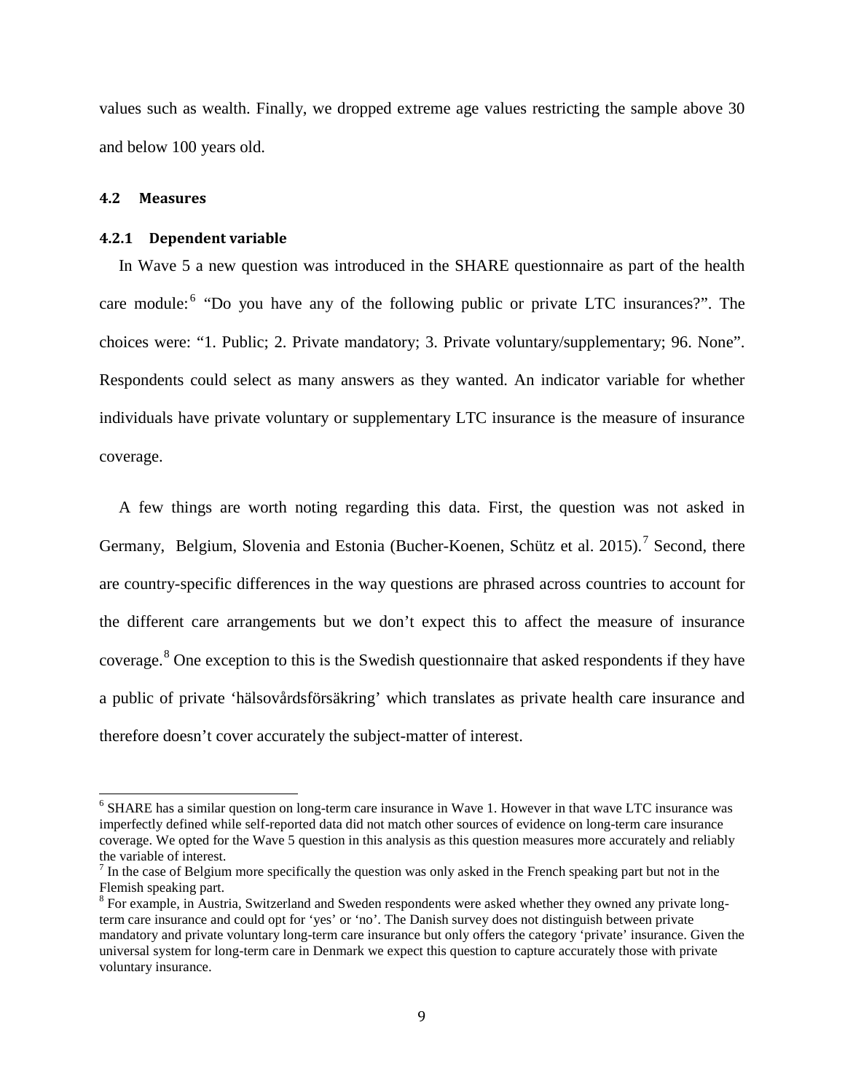values such as wealth. Finally, we dropped extreme age values restricting the sample above 30 and below 100 years old.

#### **4.2 Measures**

#### **4.2.1 Dependent variable**

In Wave 5 a new question was introduced in the SHARE questionnaire as part of the health care module:<sup>[6](#page-9-0)</sup> "Do you have any of the following public or private LTC insurances?". The choices were: "1. Public; 2. Private mandatory; 3. Private voluntary/supplementary; 96. None". Respondents could select as many answers as they wanted. An indicator variable for whether individuals have private voluntary or supplementary LTC insurance is the measure of insurance coverage.

A few things are worth noting regarding this data. First, the question was not asked in Germany, Belgium, Slovenia and Estonia [\(Bucher-Koenen, Schütz et al. 2015\)](#page-26-10).<sup>[7](#page-9-1)</sup> Second, there are country-specific differences in the way questions are phrased across countries to account for the different care arrangements but we don't expect this to affect the measure of insurance coverage.<sup>[8](#page-9-2)</sup> One exception to this is the Swedish questionnaire that asked respondents if they have a public of private 'hälsovårdsförsäkring' which translates as private health care insurance and therefore doesn't cover accurately the subject-matter of interest.

<span id="page-9-0"></span><sup>&</sup>lt;sup>6</sup> SHARE has a similar question on long-term care insurance in Wave 1. However in that wave LTC insurance was imperfectly defined while self-reported data did not match other sources of evidence on long-term care insurance coverage. We opted for the Wave 5 question in this analysis as this question measures more accurately and reliably the variable of interest.

<span id="page-9-1"></span> $<sup>7</sup>$  In the case of Belgium more specifically the question was only asked in the French speaking part but not in the</sup> Flemish speaking part.

<span id="page-9-2"></span><sup>&</sup>lt;sup>8</sup> For example, in Austria, Switzerland and Sweden respondents were asked whether they owned any private longterm care insurance and could opt for 'yes' or 'no'. The Danish survey does not distinguish between private mandatory and private voluntary long-term care insurance but only offers the category 'private' insurance. Given the universal system for long-term care in Denmark we expect this question to capture accurately those with private voluntary insurance.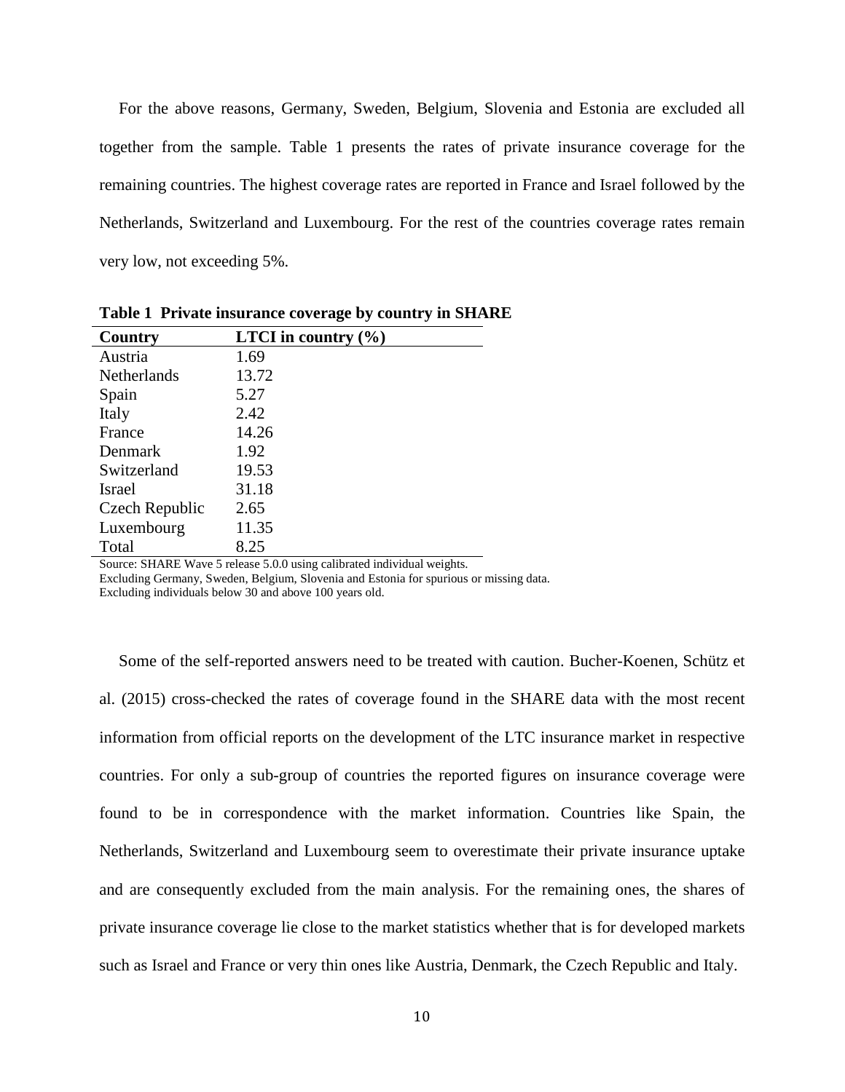For the above reasons, Germany, Sweden, Belgium, Slovenia and Estonia are excluded all together from the sample. Table 1 presents the rates of private insurance coverage for the remaining countries. The highest coverage rates are reported in France and Israel followed by the Netherlands, Switzerland and Luxembourg. For the rest of the countries coverage rates remain very low, not exceeding 5%.

| Country            | <b>LTCI</b> in country $(\% )$ |  |  |  |
|--------------------|--------------------------------|--|--|--|
| Austria            | 1.69                           |  |  |  |
| <b>Netherlands</b> | 13.72                          |  |  |  |
| Spain              | 5.27                           |  |  |  |
| Italy              | 2.42                           |  |  |  |
| France             | 14.26                          |  |  |  |
| Denmark            | 1.92                           |  |  |  |
| Switzerland        | 19.53                          |  |  |  |
| Israel             | 31.18                          |  |  |  |
| Czech Republic     | 2.65                           |  |  |  |
| Luxembourg         | 11.35                          |  |  |  |
| Total              | 8.25                           |  |  |  |

**Table 1 Private insurance coverage by country in SHARE**

Source: SHARE Wave 5 release 5.0.0 using calibrated individual weights.

Excluding Germany, Sweden, Belgium, Slovenia and Estonia for spurious or missing data. Excluding individuals below 30 and above 100 years old.

Some of the self-reported answers need to be treated with caution. [Bucher-Koenen, Schütz et](#page-26-10)  [al. \(2015\)](#page-26-10) cross-checked the rates of coverage found in the SHARE data with the most recent information from official reports on the development of the LTC insurance market in respective countries. For only a sub-group of countries the reported figures on insurance coverage were found to be in correspondence with the market information. Countries like Spain, the Netherlands, Switzerland and Luxembourg seem to overestimate their private insurance uptake and are consequently excluded from the main analysis. For the remaining ones, the shares of private insurance coverage lie close to the market statistics whether that is for developed markets such as Israel and France or very thin ones like Austria, Denmark, the Czech Republic and Italy.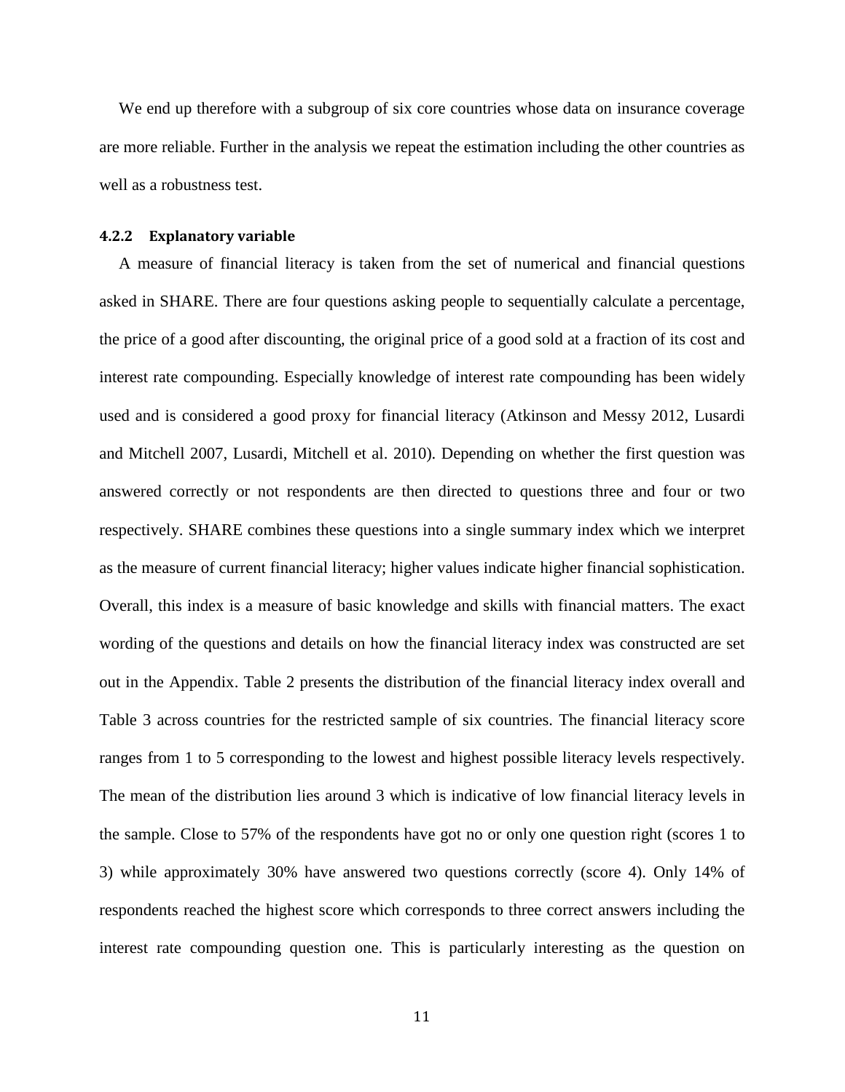We end up therefore with a subgroup of six core countries whose data on insurance coverage are more reliable. Further in the analysis we repeat the estimation including the other countries as well as a robustness test.

#### **4.2.2 Explanatory variable**

A measure of financial literacy is taken from the set of numerical and financial questions asked in SHARE. There are four questions asking people to sequentially calculate a percentage, the price of a good after discounting, the original price of a good sold at a fraction of its cost and interest rate compounding. Especially knowledge of interest rate compounding has been widely used and is considered a good proxy for financial literacy [\(Atkinson and Messy 2012,](#page-26-11) [Lusardi](#page-28-12)  [and Mitchell 2007,](#page-28-12) [Lusardi, Mitchell et al. 2010\)](#page-28-13). Depending on whether the first question was answered correctly or not respondents are then directed to questions three and four or two respectively. SHARE combines these questions into a single summary index which we interpret as the measure of current financial literacy; higher values indicate higher financial sophistication. Overall, this index is a measure of basic knowledge and skills with financial matters. The exact wording of the questions and details on how the financial literacy index was constructed are set out in the Appendix. Table 2 presents the distribution of the financial literacy index overall and Table 3 across countries for the restricted sample of six countries. The financial literacy score ranges from 1 to 5 corresponding to the lowest and highest possible literacy levels respectively. The mean of the distribution lies around 3 which is indicative of low financial literacy levels in the sample. Close to 57% of the respondents have got no or only one question right (scores 1 to 3) while approximately 30% have answered two questions correctly (score 4). Only 14% of respondents reached the highest score which corresponds to three correct answers including the interest rate compounding question one. This is particularly interesting as the question on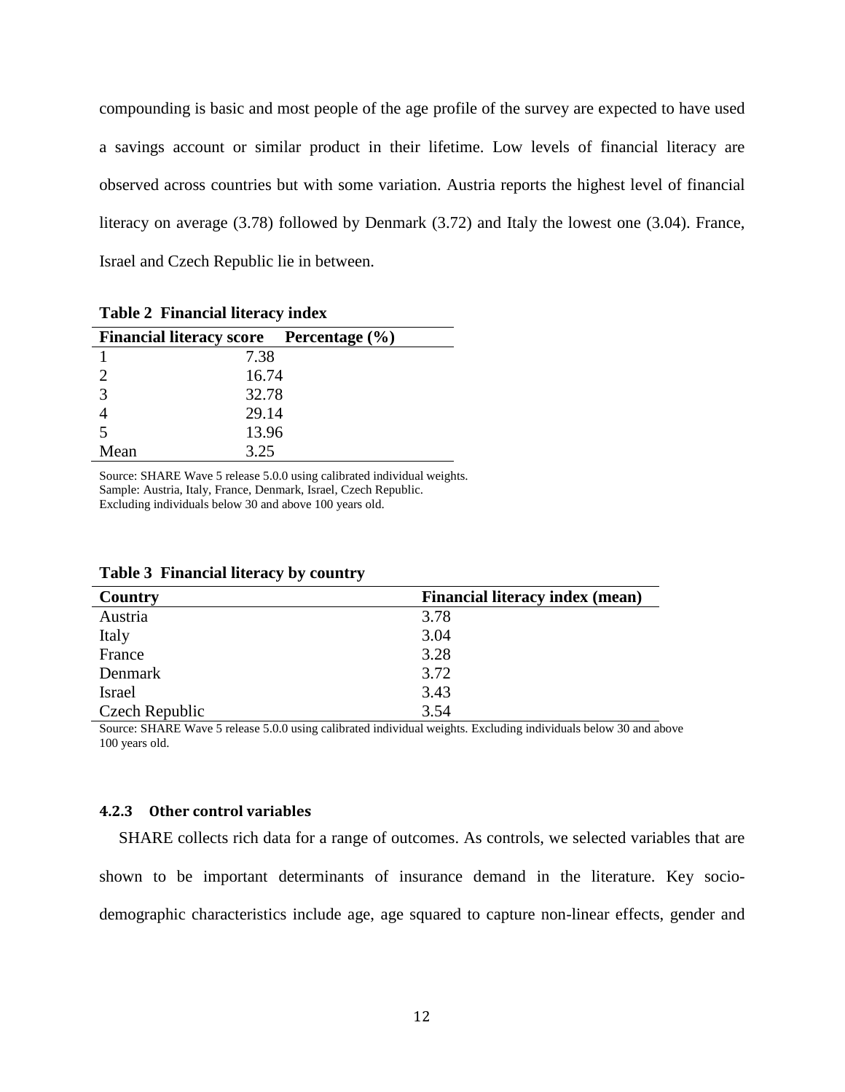compounding is basic and most people of the age profile of the survey are expected to have used a savings account or similar product in their lifetime. Low levels of financial literacy are observed across countries but with some variation. Austria reports the highest level of financial literacy on average (3.78) followed by Denmark (3.72) and Italy the lowest one (3.04). France, Israel and Czech Republic lie in between.

|      | Financial literacy score Percentage (%) |  |
|------|-----------------------------------------|--|
|      | 7.38                                    |  |
|      | 16.74                                   |  |
| 3    | 32.78                                   |  |
|      | 29.14                                   |  |
|      | 13.96                                   |  |
| Mean | 3.25                                    |  |

**Table 2 Financial literacy index**

Source: SHARE Wave 5 release 5.0.0 using calibrated individual weights. Sample: Austria, Italy, France, Denmark, Israel, Czech Republic. Excluding individuals below 30 and above 100 years old.

| Country        | <b>Financial literacy index (mean)</b> |
|----------------|----------------------------------------|
| Austria        | 3.78                                   |
| Italy          | 3.04                                   |
| France         | 3.28                                   |
| Denmark        | 3.72                                   |
| <b>Israel</b>  | 3.43                                   |
| Czech Republic | 3.54                                   |

**Table 3 Financial literacy by country**

Source: SHARE Wave 5 release 5.0.0 using calibrated individual weights. Excluding individuals below 30 and above 100 years old.

#### **4.2.3 Other control variables**

SHARE collects rich data for a range of outcomes. As controls, we selected variables that are shown to be important determinants of insurance demand in the literature. Key sociodemographic characteristics include age, age squared to capture non-linear effects, gender and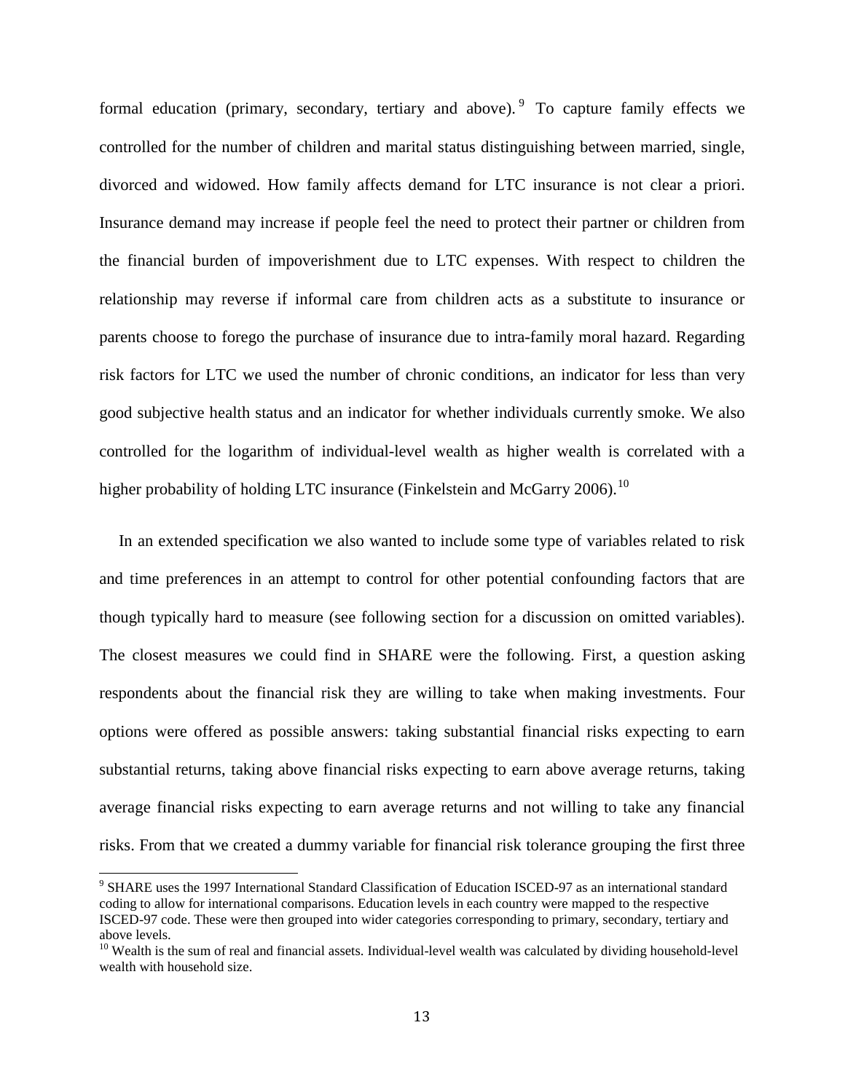formal education (primary, secondary, tertiary and above). <sup>[9](#page-13-0)</sup> To capture family effects we controlled for the number of children and marital status distinguishing between married, single, divorced and widowed. How family affects demand for LTC insurance is not clear a priori. Insurance demand may increase if people feel the need to protect their partner or children from the financial burden of impoverishment due to LTC expenses. With respect to children the relationship may reverse if informal care from children acts as a substitute to insurance or parents choose to forego the purchase of insurance due to intra-family moral hazard. Regarding risk factors for LTC we used the number of chronic conditions, an indicator for less than very good subjective health status and an indicator for whether individuals currently smoke. We also controlled for the logarithm of individual-level wealth as higher wealth is correlated with a higher probability of holding LTC insurance [\(Finkelstein and McGarry 2006\)](#page-27-11).  $^{10}$  $^{10}$  $^{10}$ 

In an extended specification we also wanted to include some type of variables related to risk and time preferences in an attempt to control for other potential confounding factors that are though typically hard to measure (see following section for a discussion on omitted variables). The closest measures we could find in SHARE were the following. First, a question asking respondents about the financial risk they are willing to take when making investments. Four options were offered as possible answers: taking substantial financial risks expecting to earn substantial returns, taking above financial risks expecting to earn above average returns, taking average financial risks expecting to earn average returns and not willing to take any financial risks. From that we created a dummy variable for financial risk tolerance grouping the first three

<span id="page-13-0"></span><sup>&</sup>lt;sup>9</sup> SHARE uses the 1997 International Standard Classification of Education ISCED-97 as an international standard coding to allow for international comparisons. Education levels in each country were mapped to the respective ISCED-97 code. These were then grouped into wider categories corresponding to primary, secondary, tertiary and above levels.

<span id="page-13-1"></span> $10$  Wealth is the sum of real and financial assets. Individual-level wealth was calculated by dividing household-level wealth with household size.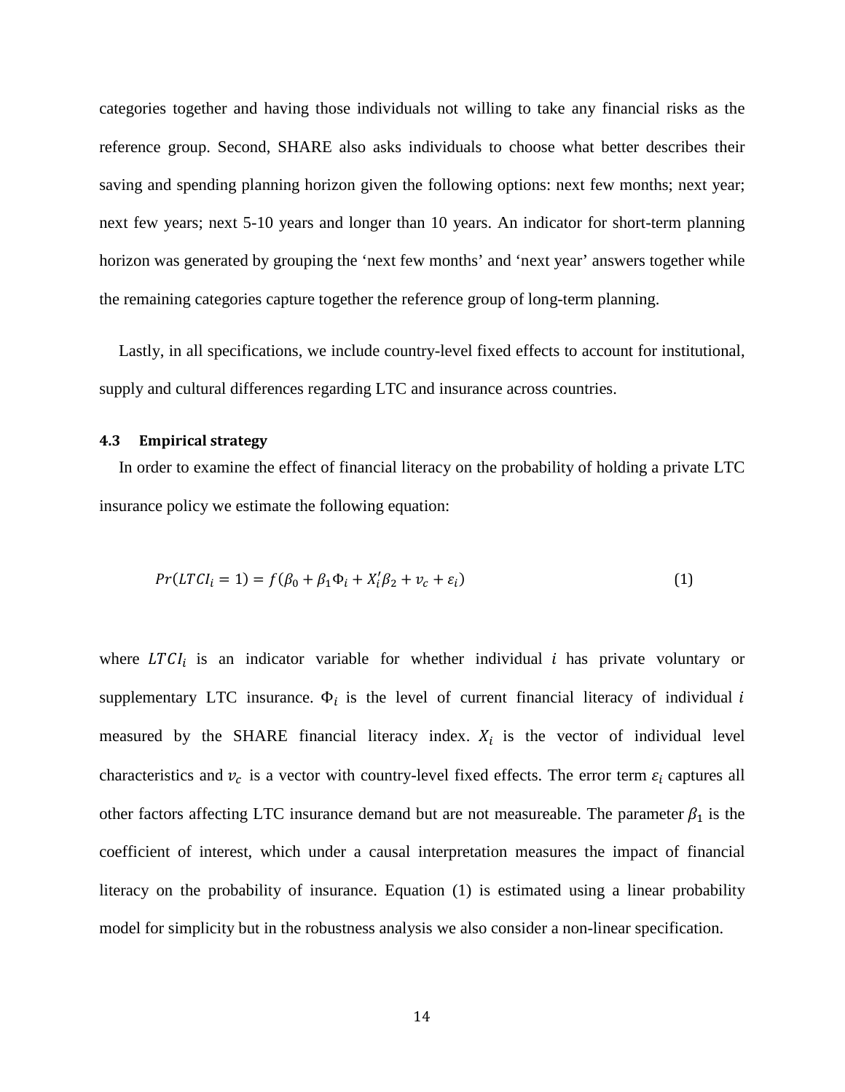categories together and having those individuals not willing to take any financial risks as the reference group. Second, SHARE also asks individuals to choose what better describes their saving and spending planning horizon given the following options: next few months; next year; next few years; next 5-10 years and longer than 10 years. An indicator for short-term planning horizon was generated by grouping the 'next few months' and 'next year' answers together while the remaining categories capture together the reference group of long-term planning.

Lastly, in all specifications, we include country-level fixed effects to account for institutional, supply and cultural differences regarding LTC and insurance across countries.

#### **4.3 Empirical strategy**

In order to examine the effect of financial literacy on the probability of holding a private LTC insurance policy we estimate the following equation:

$$
Pr(LTCI_i = 1) = f(\beta_0 + \beta_1 \Phi_i + X_i'\beta_2 + v_c + \varepsilon_i)
$$
\n(1)

where  $LTCI_i$  is an indicator variable for whether individual *i* has private voluntary or supplementary LTC insurance.  $\Phi_i$  is the level of current financial literacy of individual i measured by the SHARE financial literacy index.  $X_i$  is the vector of individual level characteristics and  $v_c$  is a vector with country-level fixed effects. The error term  $\varepsilon_i$  captures all other factors affecting LTC insurance demand but are not measureable. The parameter  $\beta_1$  is the coefficient of interest, which under a causal interpretation measures the impact of financial literacy on the probability of insurance. Equation (1) is estimated using a linear probability model for simplicity but in the robustness analysis we also consider a non-linear specification.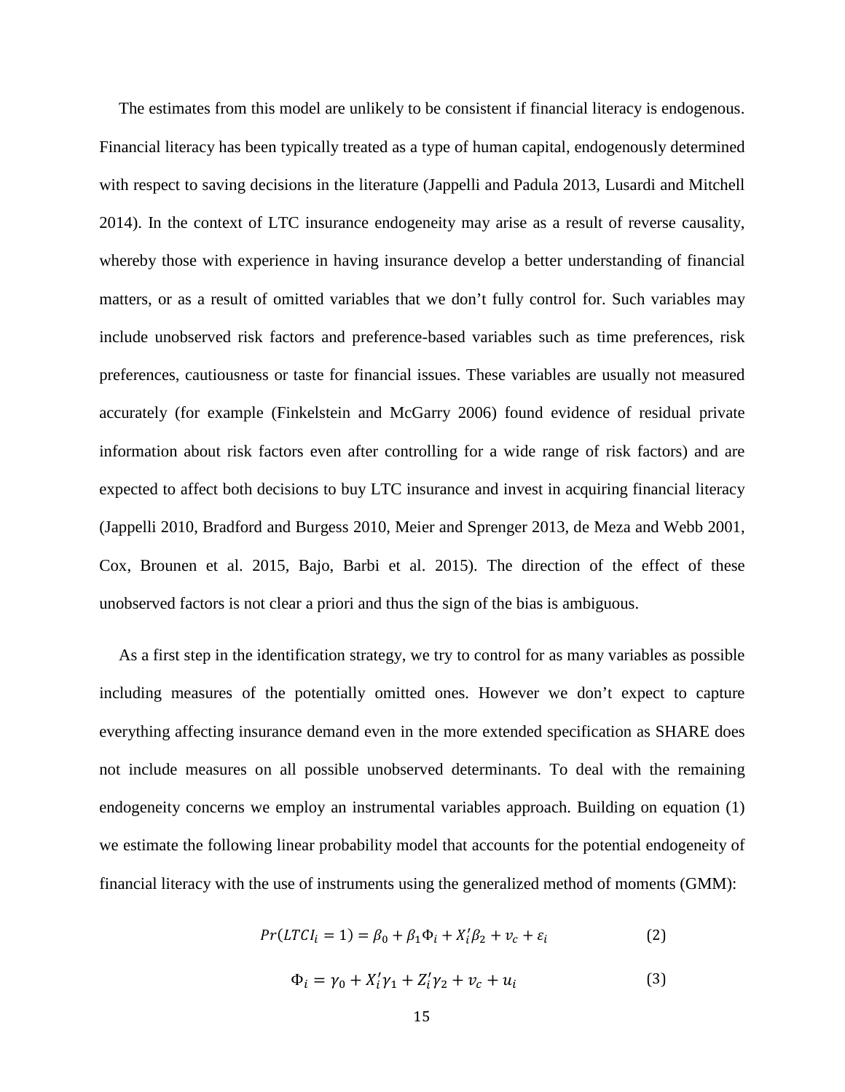The estimates from this model are unlikely to be consistent if financial literacy is endogenous. Financial literacy has been typically treated as a type of human capital, endogenously determined with respect to saving decisions in the literature [\(Jappelli and Padula 2013,](#page-27-12) [Lusardi and Mitchell](#page-28-14)  [2014\)](#page-28-14). In the context of LTC insurance endogeneity may arise as a result of reverse causality, whereby those with experience in having insurance develop a better understanding of financial matters, or as a result of omitted variables that we don't fully control for. Such variables may include unobserved risk factors and preference-based variables such as time preferences, risk preferences, cautiousness or taste for financial issues. These variables are usually not measured accurately (for example [\(Finkelstein and McGarry 2006\)](#page-27-11) found evidence of residual private information about risk factors even after controlling for a wide range of risk factors) and are expected to affect both decisions to buy LTC insurance and invest in acquiring financial literacy [\(Jappelli 2010,](#page-27-13) [Bradford and Burgess 2010,](#page-26-5) [Meier and Sprenger 2013,](#page-28-15) [de Meza and Webb 2001,](#page-27-8) [Cox, Brounen et al. 2015,](#page-27-14) [Bajo, Barbi et al. 2015\)](#page-26-12). The direction of the effect of these unobserved factors is not clear a priori and thus the sign of the bias is ambiguous.

As a first step in the identification strategy, we try to control for as many variables as possible including measures of the potentially omitted ones. However we don't expect to capture everything affecting insurance demand even in the more extended specification as SHARE does not include measures on all possible unobserved determinants. To deal with the remaining endogeneity concerns we employ an instrumental variables approach. Building on equation (1) we estimate the following linear probability model that accounts for the potential endogeneity of financial literacy with the use of instruments using the generalized method of moments (GMM):

$$
Pr(LTCI_i = 1) = \beta_0 + \beta_1 \Phi_i + X_i' \beta_2 + v_c + \varepsilon_i
$$
 (2)

$$
\Phi_i = \gamma_0 + X_i' \gamma_1 + Z_i' \gamma_2 + v_c + u_i \tag{3}
$$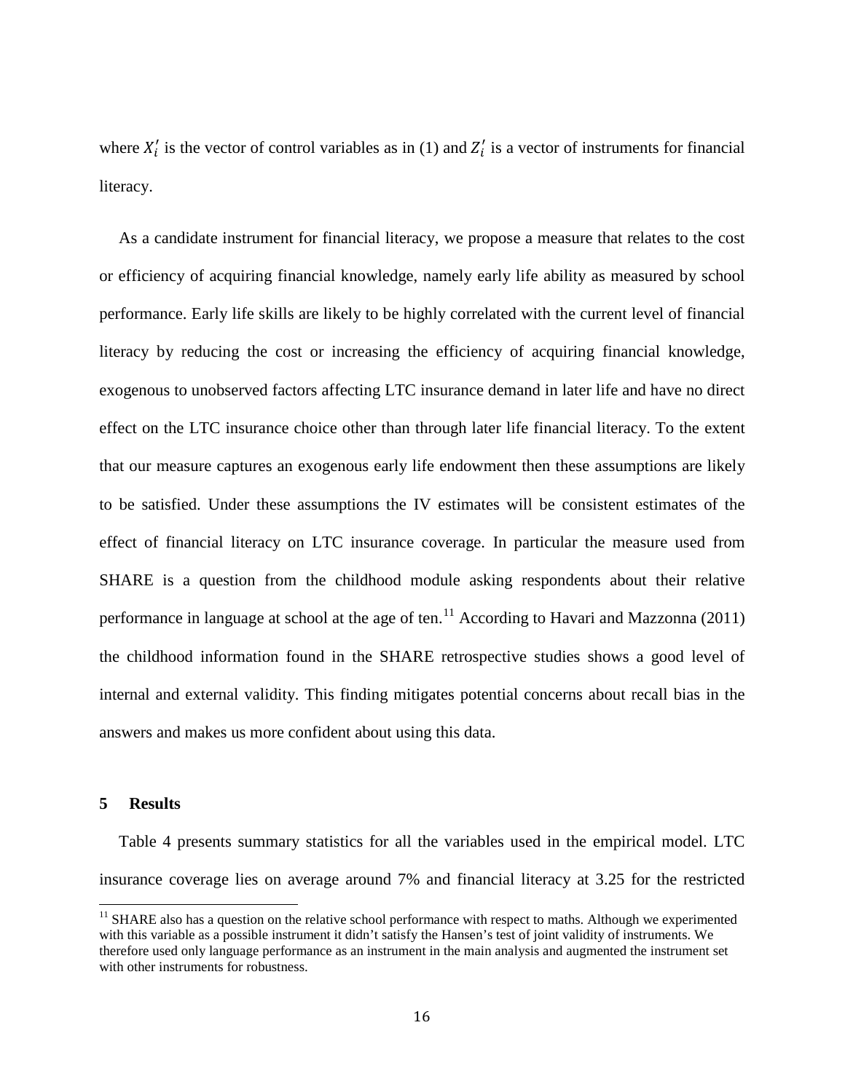where  $X'_i$  is the vector of control variables as in (1) and  $Z'_i$  is a vector of instruments for financial literacy.

As a candidate instrument for financial literacy, we propose a measure that relates to the cost or efficiency of acquiring financial knowledge, namely early life ability as measured by school performance. Early life skills are likely to be highly correlated with the current level of financial literacy by reducing the cost or increasing the efficiency of acquiring financial knowledge, exogenous to unobserved factors affecting LTC insurance demand in later life and have no direct effect on the LTC insurance choice other than through later life financial literacy. To the extent that our measure captures an exogenous early life endowment then these assumptions are likely to be satisfied. Under these assumptions the IV estimates will be consistent estimates of the effect of financial literacy on LTC insurance coverage. In particular the measure used from SHARE is a question from the childhood module asking respondents about their relative performance in language at school at the age of ten.<sup>[11](#page-16-0)</sup> According to [Havari and Mazzonna \(2011\)](#page-27-15) the childhood information found in the SHARE retrospective studies shows a good level of internal and external validity. This finding mitigates potential concerns about recall bias in the answers and makes us more confident about using this data.

#### **5 Results**

Table 4 presents summary statistics for all the variables used in the empirical model. LTC insurance coverage lies on average around 7% and financial literacy at 3.25 for the restricted

<span id="page-16-0"></span><sup>&</sup>lt;sup>11</sup> SHARE also has a question on the relative school performance with respect to maths. Although we experimented with this variable as a possible instrument it didn't satisfy the Hansen's test of joint validity of instruments. We therefore used only language performance as an instrument in the main analysis and augmented the instrument set with other instruments for robustness.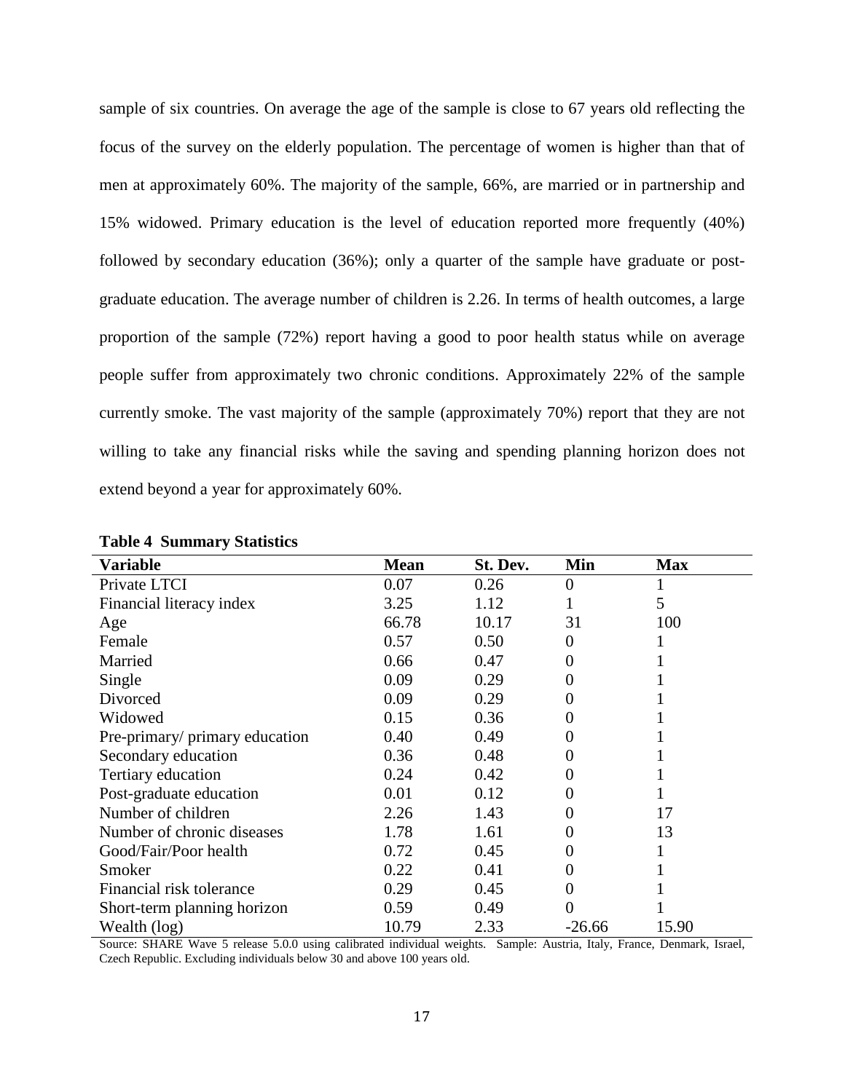sample of six countries. On average the age of the sample is close to 67 years old reflecting the focus of the survey on the elderly population. The percentage of women is higher than that of men at approximately 60%. The majority of the sample, 66%, are married or in partnership and 15% widowed. Primary education is the level of education reported more frequently (40%) followed by secondary education (36%); only a quarter of the sample have graduate or postgraduate education. The average number of children is 2.26. In terms of health outcomes, a large proportion of the sample (72%) report having a good to poor health status while on average people suffer from approximately two chronic conditions. Approximately 22% of the sample currently smoke. The vast majority of the sample (approximately 70%) report that they are not willing to take any financial risks while the saving and spending planning horizon does not extend beyond a year for approximately 60%.

| <b>Variable</b>                | <b>Mean</b> | St. Dev. | Min      | <b>Max</b> |
|--------------------------------|-------------|----------|----------|------------|
| Private LTCI                   | 0.07        | 0.26     | 0        |            |
| Financial literacy index       | 3.25        | 1.12     |          | 5          |
| Age                            | 66.78       | 10.17    | 31       | 100        |
| Female                         | 0.57        | 0.50     | 0        |            |
| Married                        | 0.66        | 0.47     | $\theta$ |            |
| Single                         | 0.09        | 0.29     | 0        |            |
| Divorced                       | 0.09        | 0.29     | $\theta$ |            |
| Widowed                        | 0.15        | 0.36     | $\theta$ |            |
| Pre-primary/ primary education | 0.40        | 0.49     | 0        |            |
| Secondary education            | 0.36        | 0.48     |          |            |
| Tertiary education             | 0.24        | 0.42     | 0        |            |
| Post-graduate education        | 0.01        | 0.12     | 0        |            |
| Number of children             | 2.26        | 1.43     | 0        | 17         |
| Number of chronic diseases     | 1.78        | 1.61     | 0        | 13         |
| Good/Fair/Poor health          | 0.72        | 0.45     | $\theta$ |            |
| Smoker                         | 0.22        | 0.41     | 0        |            |
| Financial risk tolerance       | 0.29        | 0.45     | 0        |            |
| Short-term planning horizon    | 0.59        | 0.49     | 0        |            |
| Wealth (log)                   | 10.79       | 2.33     | $-26.66$ | 15.90      |

#### **Table 4 Summary Statistics**

Source: SHARE Wave 5 release 5.0.0 using calibrated individual weights. Sample: Austria, Italy, France, Denmark, Israel, Czech Republic. Excluding individuals below 30 and above 100 years old.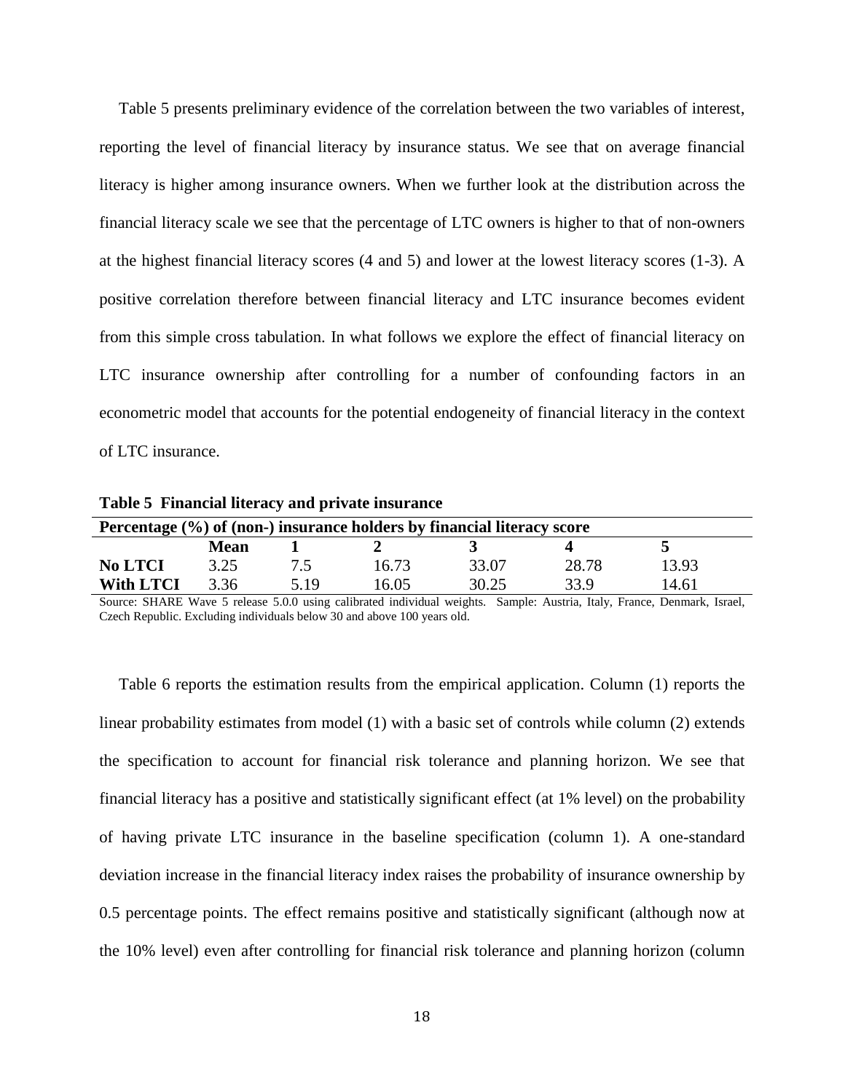Table 5 presents preliminary evidence of the correlation between the two variables of interest, reporting the level of financial literacy by insurance status. We see that on average financial literacy is higher among insurance owners. When we further look at the distribution across the financial literacy scale we see that the percentage of LTC owners is higher to that of non-owners at the highest financial literacy scores (4 and 5) and lower at the lowest literacy scores (1-3). A positive correlation therefore between financial literacy and LTC insurance becomes evident from this simple cross tabulation. In what follows we explore the effect of financial literacy on LTC insurance ownership after controlling for a number of confounding factors in an econometric model that accounts for the potential endogeneity of financial literacy in the context of LTC insurance.

| <b>Table 5</b> Financial interacy and private insurance                |      |      |       |       |       |       |  |
|------------------------------------------------------------------------|------|------|-------|-------|-------|-------|--|
| Percentage (%) of (non-) insurance holders by financial literacy score |      |      |       |       |       |       |  |
|                                                                        | Mean |      |       |       |       |       |  |
| <b>No LTCI</b>                                                         | 3.25 | 75   | 16.73 | 33.07 | 28.78 | 13.93 |  |
| <b>With LTCI</b>                                                       | 3.36 | 5.19 | 16.05 | 30.25 | 33.9  | 14.61 |  |

**Table 5 Financial literacy and private insurance**

Source: SHARE Wave 5 release 5.0.0 using calibrated individual weights. Sample: Austria, Italy, France, Denmark, Israel, Czech Republic. Excluding individuals below 30 and above 100 years old.

Table 6 reports the estimation results from the empirical application. Column (1) reports the linear probability estimates from model (1) with a basic set of controls while column (2) extends the specification to account for financial risk tolerance and planning horizon. We see that financial literacy has a positive and statistically significant effect (at 1% level) on the probability of having private LTC insurance in the baseline specification (column 1). A one-standard deviation increase in the financial literacy index raises the probability of insurance ownership by 0.5 percentage points. The effect remains positive and statistically significant (although now at the 10% level) even after controlling for financial risk tolerance and planning horizon (column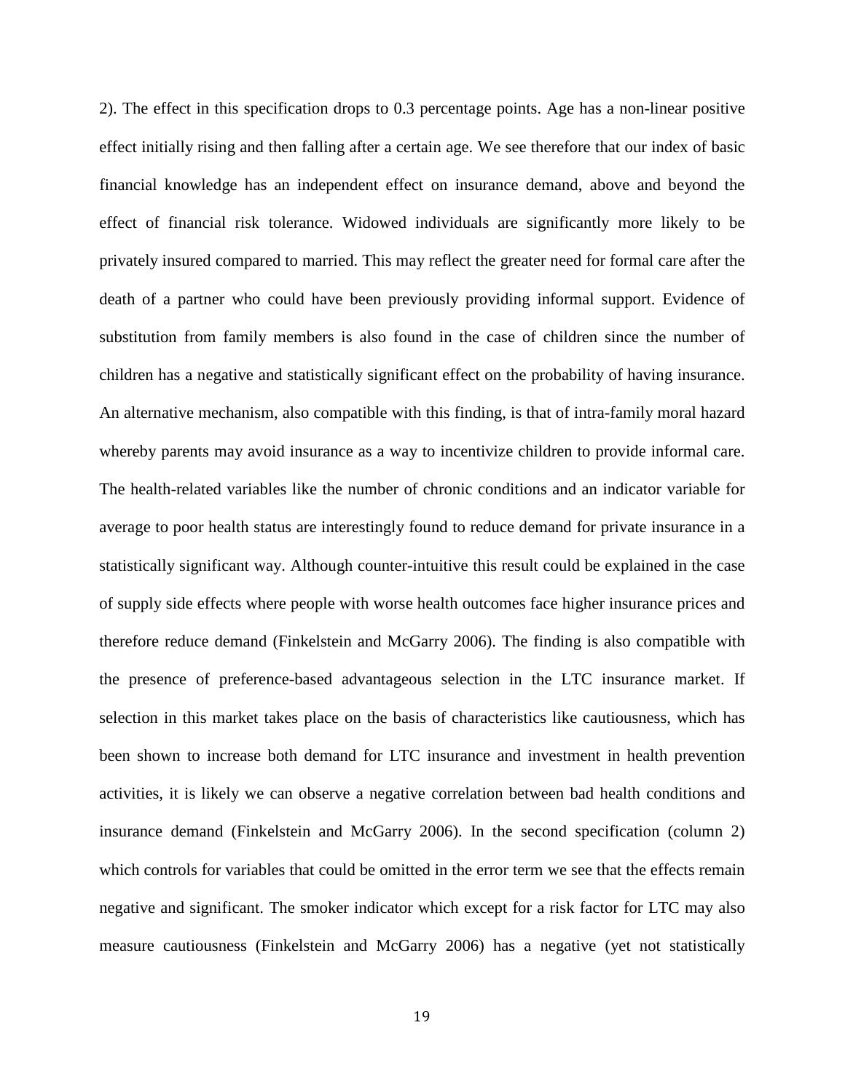2). The effect in this specification drops to 0.3 percentage points. Age has a non-linear positive effect initially rising and then falling after a certain age. We see therefore that our index of basic financial knowledge has an independent effect on insurance demand, above and beyond the effect of financial risk tolerance. Widowed individuals are significantly more likely to be privately insured compared to married. This may reflect the greater need for formal care after the death of a partner who could have been previously providing informal support. Evidence of substitution from family members is also found in the case of children since the number of children has a negative and statistically significant effect on the probability of having insurance. An alternative mechanism, also compatible with this finding, is that of intra-family moral hazard whereby parents may avoid insurance as a way to incentivize children to provide informal care. The health-related variables like the number of chronic conditions and an indicator variable for average to poor health status are interestingly found to reduce demand for private insurance in a statistically significant way. Although counter-intuitive this result could be explained in the case of supply side effects where people with worse health outcomes face higher insurance prices and therefore reduce demand [\(Finkelstein and McGarry 2006\)](#page-27-11). The finding is also compatible with the presence of preference-based advantageous selection in the LTC insurance market. If selection in this market takes place on the basis of characteristics like cautiousness, which has been shown to increase both demand for LTC insurance and investment in health prevention activities, it is likely we can observe a negative correlation between bad health conditions and insurance demand [\(Finkelstein and McGarry 2006\)](#page-27-11). In the second specification (column 2) which controls for variables that could be omitted in the error term we see that the effects remain negative and significant. The smoker indicator which except for a risk factor for LTC may also measure cautiousness [\(Finkelstein and McGarry 2006\)](#page-27-11) has a negative (yet not statistically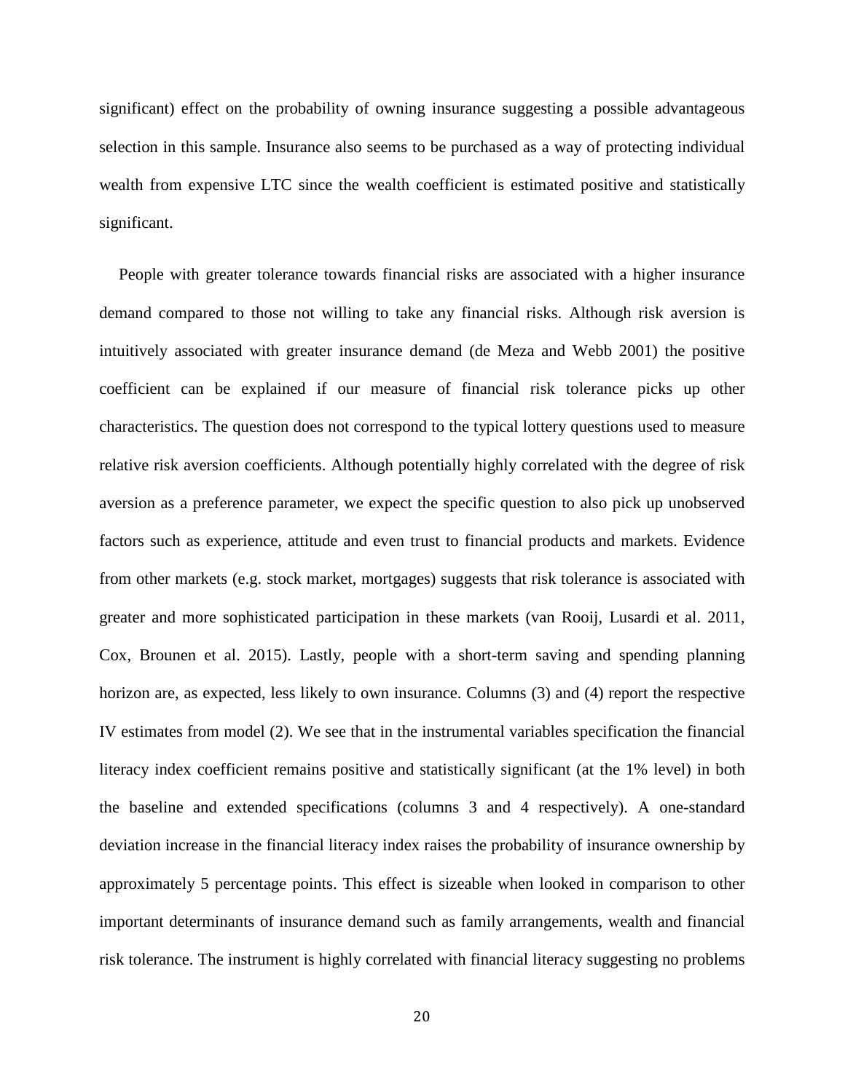significant) effect on the probability of owning insurance suggesting a possible advantageous selection in this sample. Insurance also seems to be purchased as a way of protecting individual wealth from expensive LTC since the wealth coefficient is estimated positive and statistically significant.

People with greater tolerance towards financial risks are associated with a higher insurance demand compared to those not willing to take any financial risks. Although risk aversion is intuitively associated with greater insurance demand [\(de Meza and Webb 2001\)](#page-27-8) the positive coefficient can be explained if our measure of financial risk tolerance picks up other characteristics. The question does not correspond to the typical lottery questions used to measure relative risk aversion coefficients. Although potentially highly correlated with the degree of risk aversion as a preference parameter, we expect the specific question to also pick up unobserved factors such as experience, attitude and even trust to financial products and markets. Evidence from other markets (e.g. stock market, mortgages) suggests that risk tolerance is associated with greater and more sophisticated participation in these markets [\(van Rooij, Lusardi et al. 2011,](#page-28-16) [Cox, Brounen et al. 2015\)](#page-27-14). Lastly, people with a short-term saving and spending planning horizon are, as expected, less likely to own insurance. Columns (3) and (4) report the respective IV estimates from model (2). We see that in the instrumental variables specification the financial literacy index coefficient remains positive and statistically significant (at the 1% level) in both the baseline and extended specifications (columns 3 and 4 respectively). A one-standard deviation increase in the financial literacy index raises the probability of insurance ownership by approximately 5 percentage points. This effect is sizeable when looked in comparison to other important determinants of insurance demand such as family arrangements, wealth and financial risk tolerance. The instrument is highly correlated with financial literacy suggesting no problems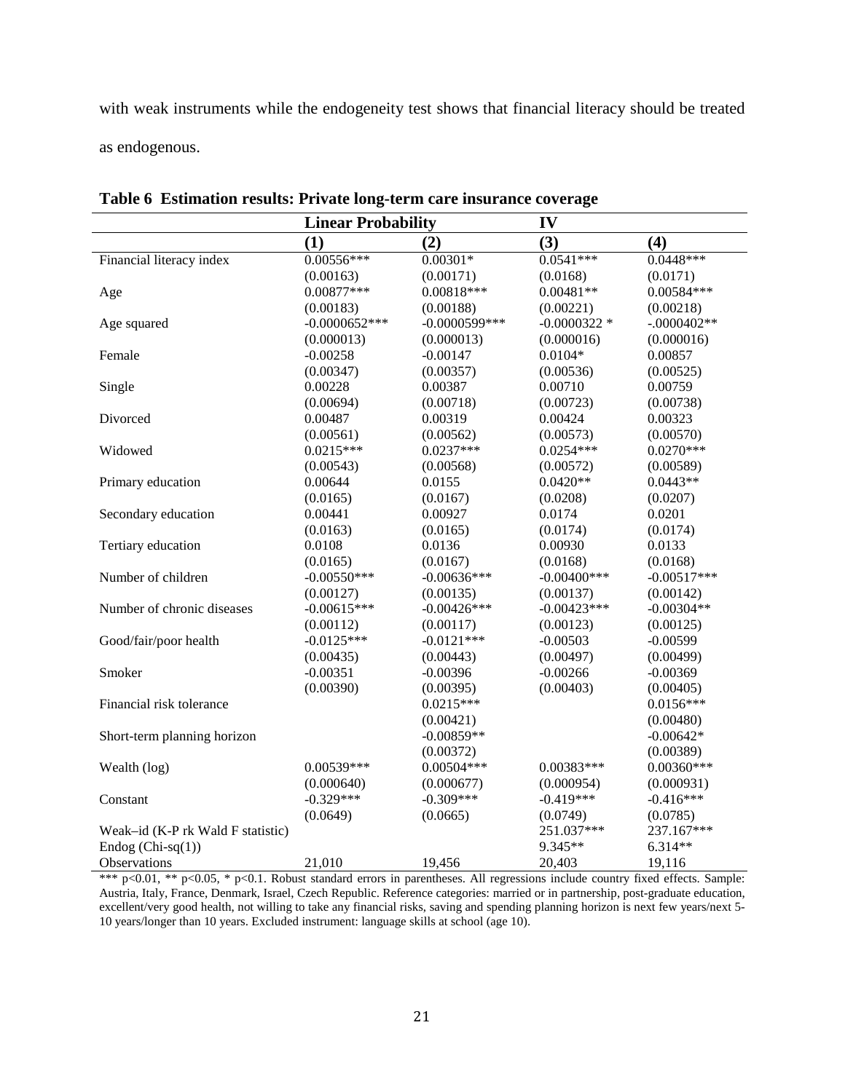with weak instruments while the endogeneity test shows that financial literacy should be treated as endogenous.

|                                   | <b>Linear Probability</b> |                 | IV             |               |
|-----------------------------------|---------------------------|-----------------|----------------|---------------|
|                                   | (1)                       | (2)             | (3)            | (4)           |
| Financial literacy index          | $0.00556***$              | $0.00301*$      | $0.0541***$    | $0.0448***$   |
|                                   | (0.00163)                 | (0.00171)       | (0.0168)       | (0.0171)      |
| Age                               | $0.00877***$              | $0.00818***$    | $0.00481**$    | 0.00584***    |
|                                   | (0.00183)                 | (0.00188)       | (0.00221)      | (0.00218)     |
| Age squared                       | $-0.0000652***$           | $-0.0000599***$ | $-0.0000322$ * | $-.0000402**$ |
|                                   | (0.000013)                | (0.000013)      | (0.000016)     | (0.000016)    |
| Female                            | $-0.00258$                | $-0.00147$      | $0.0104*$      | 0.00857       |
|                                   | (0.00347)                 | (0.00357)       | (0.00536)      | (0.00525)     |
| Single                            | 0.00228                   | 0.00387         | 0.00710        | 0.00759       |
|                                   | (0.00694)                 | (0.00718)       | (0.00723)      | (0.00738)     |
| Divorced                          | 0.00487                   | 0.00319         | 0.00424        | 0.00323       |
|                                   | (0.00561)                 | (0.00562)       | (0.00573)      | (0.00570)     |
| Widowed                           | $0.0215***$               | $0.0237***$     | $0.0254***$    | $0.0270***$   |
|                                   | (0.00543)                 | (0.00568)       | (0.00572)      | (0.00589)     |
| Primary education                 | 0.00644                   | 0.0155          | $0.0420**$     | $0.0443**$    |
|                                   | (0.0165)                  | (0.0167)        | (0.0208)       | (0.0207)      |
| Secondary education               | 0.00441                   | 0.00927         | 0.0174         | 0.0201        |
|                                   | (0.0163)                  | (0.0165)        | (0.0174)       | (0.0174)      |
| Tertiary education                | 0.0108                    | 0.0136          | 0.00930        | 0.0133        |
|                                   | (0.0165)                  | (0.0167)        | (0.0168)       | (0.0168)      |
| Number of children                | $-0.00550***$             | $-0.00636***$   | $-0.00400$ *** | $-0.00517***$ |
|                                   | (0.00127)                 | (0.00135)       | (0.00137)      | (0.00142)     |
| Number of chronic diseases        | $-0.00615***$             | $-0.00426***$   | $-0.00423***$  | $-0.00304**$  |
|                                   | (0.00112)                 | (0.00117)       | (0.00123)      | (0.00125)     |
| Good/fair/poor health             | $-0.0125***$              | $-0.0121***$    | $-0.00503$     | $-0.00599$    |
|                                   | (0.00435)                 | (0.00443)       | (0.00497)      | (0.00499)     |
| Smoker                            | $-0.00351$                | $-0.00396$      | $-0.00266$     | $-0.00369$    |
|                                   | (0.00390)                 | (0.00395)       | (0.00403)      | (0.00405)     |
| Financial risk tolerance          |                           | $0.0215***$     |                | $0.0156***$   |
|                                   |                           | (0.00421)       |                | (0.00480)     |
| Short-term planning horizon       |                           | $-0.00859**$    |                | $-0.00642*$   |
|                                   |                           | (0.00372)       |                | (0.00389)     |
| Wealth (log)                      | 0.00539***                | $0.00504***$    | 0.00383***     | $0.00360***$  |
|                                   | (0.000640)                | (0.000677)      | (0.000954)     | (0.000931)    |
| Constant                          | $-0.329***$               | $-0.309***$     | $-0.419***$    | $-0.416***$   |
|                                   | (0.0649)                  | (0.0665)        | (0.0749)       | (0.0785)      |
| Weak-id (K-P rk Wald F statistic) |                           |                 | 251.037***     | 237.167***    |
| Endog $(Chi-sq(1))$               |                           |                 | 9.345**        | $6.314**$     |
| Observations                      | 21,010                    | 19,456          | 20,403         | 19,116        |

**Table 6 Estimation results: Private long-term care insurance coverage**

\*\*\* p<0.01, \*\* p<0.05, \* p<0.1. Robust standard errors in parentheses. All regressions include country fixed effects. Sample: Austria, Italy, France, Denmark, Israel, Czech Republic. Reference categories: married or in partnership, post-graduate education, excellent/very good health, not willing to take any financial risks, saving and spending planning horizon is next few years/next 5-10 years/longer than 10 years. Excluded instrument: language skills at school (age 10).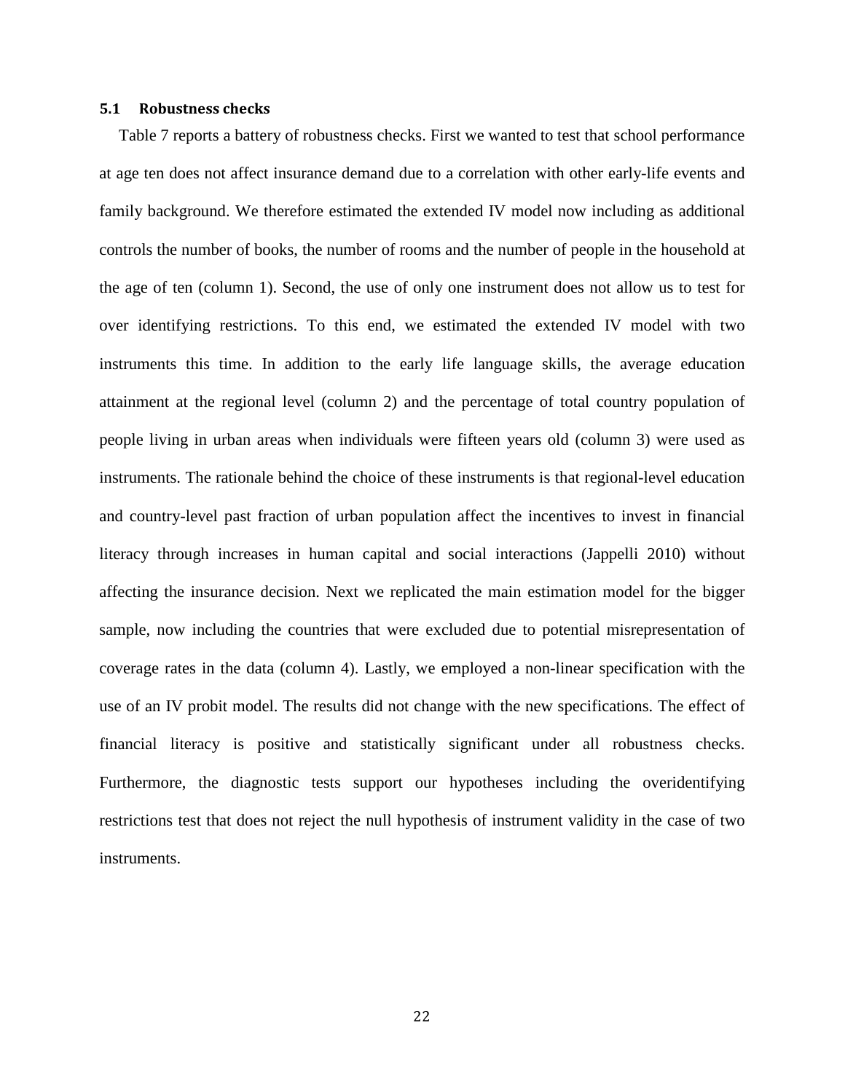#### **5.1 Robustness checks**

Table 7 reports a battery of robustness checks. First we wanted to test that school performance at age ten does not affect insurance demand due to a correlation with other early-life events and family background. We therefore estimated the extended IV model now including as additional controls the number of books, the number of rooms and the number of people in the household at the age of ten (column 1). Second, the use of only one instrument does not allow us to test for over identifying restrictions. To this end, we estimated the extended IV model with two instruments this time. In addition to the early life language skills, the average education attainment at the regional level (column 2) and the percentage of total country population of people living in urban areas when individuals were fifteen years old (column 3) were used as instruments. The rationale behind the choice of these instruments is that regional-level education and country-level past fraction of urban population affect the incentives to invest in financial literacy through increases in human capital and social interactions [\(Jappelli 2010\)](#page-27-13) without affecting the insurance decision. Next we replicated the main estimation model for the bigger sample, now including the countries that were excluded due to potential misrepresentation of coverage rates in the data (column 4). Lastly, we employed a non-linear specification with the use of an IV probit model. The results did not change with the new specifications. The effect of financial literacy is positive and statistically significant under all robustness checks. Furthermore, the diagnostic tests support our hypotheses including the overidentifying restrictions test that does not reject the null hypothesis of instrument validity in the case of two instruments.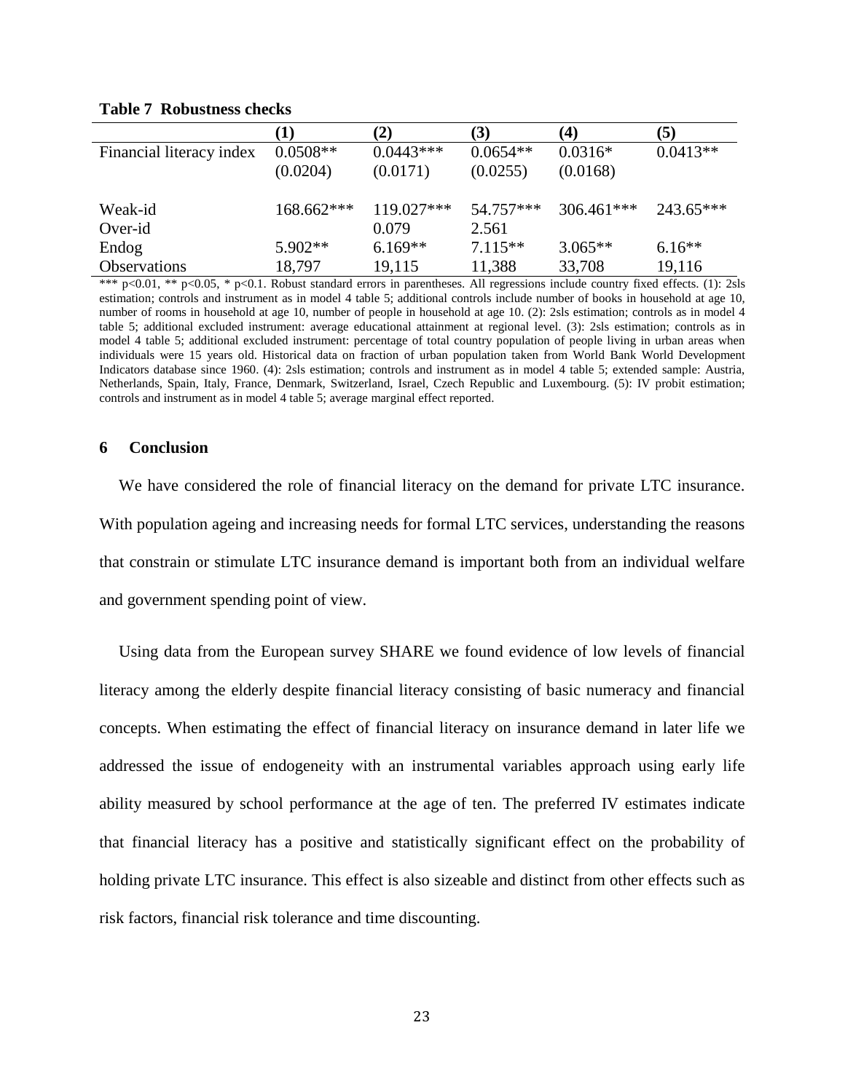|                          |            | $\mathbf{2)}$ | (3)        | (4)          | (5)        |
|--------------------------|------------|---------------|------------|--------------|------------|
| Financial literacy index | $0.0508**$ | $0.0443***$   | $0.0654**$ | $0.0316*$    | $0.0413**$ |
|                          | (0.0204)   | (0.0171)      | (0.0255)   | (0.0168)     |            |
| Weak-id                  | 168.662*** | 119.027***    | 54.757***  | $306.461***$ | 243.65***  |
| Over-id                  |            | 0.079         | 2.561      |              |            |
| Endog                    | $5.902**$  | $6.169**$     | $7.115**$  | $3.065**$    | $6.16**$   |
| <b>Observations</b>      | 18,797     | 19,115        | 11,388     | 33,708       | 19,116     |

#### **Table 7 Robustness checks**

\*\*\* p<0.01, \*\* p<0.05, \* p<0.1. Robust standard errors in parentheses. All regressions include country fixed effects. (1): 2sls estimation; controls and instrument as in model 4 table 5; additional controls include number of books in household at age 10, number of rooms in household at age 10, number of people in household at age 10. (2): 2sls estimation; controls as in model 4 table 5; additional excluded instrument: average educational attainment at regional level. (3): 2sls estimation; controls as in model 4 table 5; additional excluded instrument: percentage of total country population of people living in urban areas when individuals were 15 years old. Historical data on fraction of urban population taken from World Bank World Development Indicators database since 1960. (4): 2sls estimation; controls and instrument as in model 4 table 5; extended sample: Austria, Netherlands, Spain, Italy, France, Denmark, Switzerland, Israel, Czech Republic and Luxembourg. (5): IV probit estimation; controls and instrument as in model 4 table 5; average marginal effect reported.

#### **6 Conclusion**

We have considered the role of financial literacy on the demand for private LTC insurance. With population ageing and increasing needs for formal LTC services, understanding the reasons that constrain or stimulate LTC insurance demand is important both from an individual welfare and government spending point of view.

Using data from the European survey SHARE we found evidence of low levels of financial literacy among the elderly despite financial literacy consisting of basic numeracy and financial concepts. When estimating the effect of financial literacy on insurance demand in later life we addressed the issue of endogeneity with an instrumental variables approach using early life ability measured by school performance at the age of ten. The preferred IV estimates indicate that financial literacy has a positive and statistically significant effect on the probability of holding private LTC insurance. This effect is also sizeable and distinct from other effects such as risk factors, financial risk tolerance and time discounting.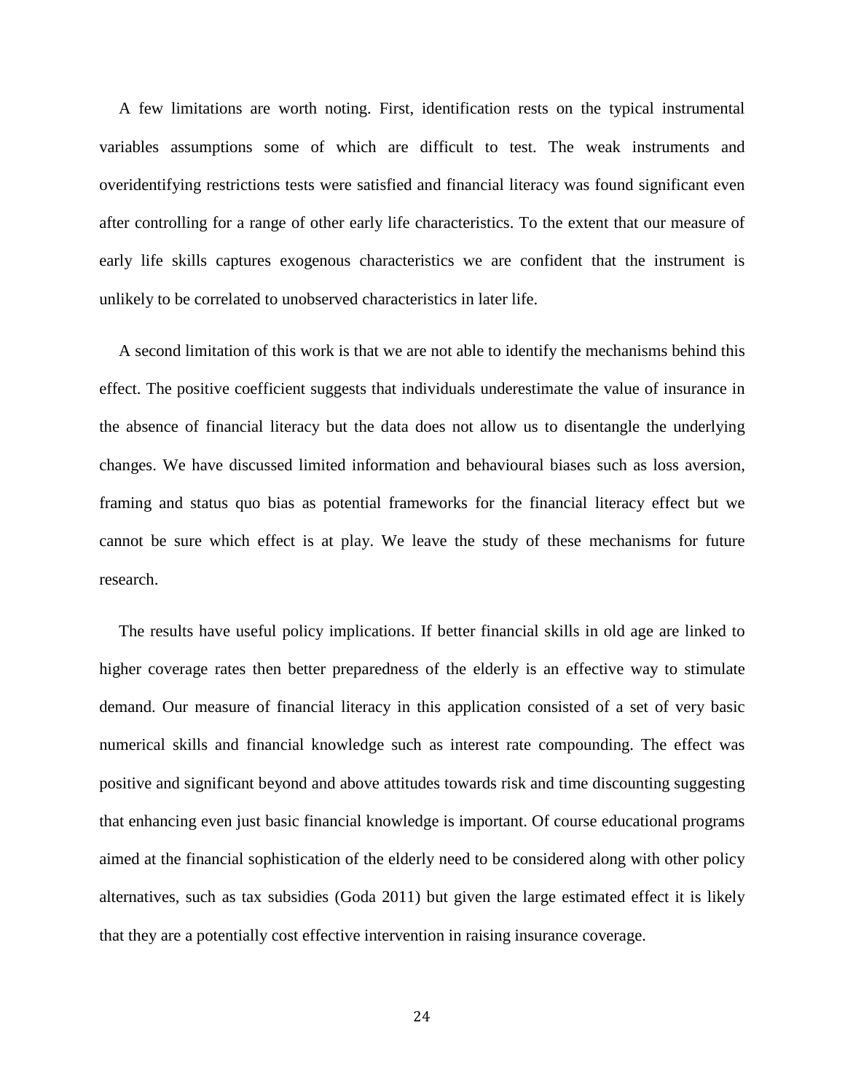A few limitations are worth noting. First, identification rests on the typical instrumental variables assumptions some of which are difficult to test. The weak instruments and overidentifying restrictions tests were satisfied and financial literacy was found significant even after controlling for a range of other early life characteristics. To the extent that our measure of early life skills captures exogenous characteristics we are confident that the instrument is unlikely to be correlated to unobserved characteristics in later life.

A second limitation of this work is that we are not able to identify the mechanisms behind this effect. The positive coefficient suggests that individuals underestimate the value of insurance in the absence of financial literacy but the data does not allow us to disentangle the underlying changes. We have discussed limited information and behavioural biases such as loss aversion, framing and status quo bias as potential frameworks for the financial literacy effect but we cannot be sure which effect is at play. We leave the study of these mechanisms for future research.

The results have useful policy implications. If better financial skills in old age are linked to higher coverage rates then better preparedness of the elderly is an effective way to stimulate demand. Our measure of financial literacy in this application consisted of a set of very basic numerical skills and financial knowledge such as interest rate compounding. The effect was positive and significant beyond and above attitudes towards risk and time discounting suggesting that enhancing even just basic financial knowledge is important. Of course educational programs aimed at the financial sophistication of the elderly need to be considered along with other policy alternatives, such as tax subsidies [\(Goda 2011\)](#page-27-16) but given the large estimated effect it is likely that they are a potentially cost effective intervention in raising insurance coverage.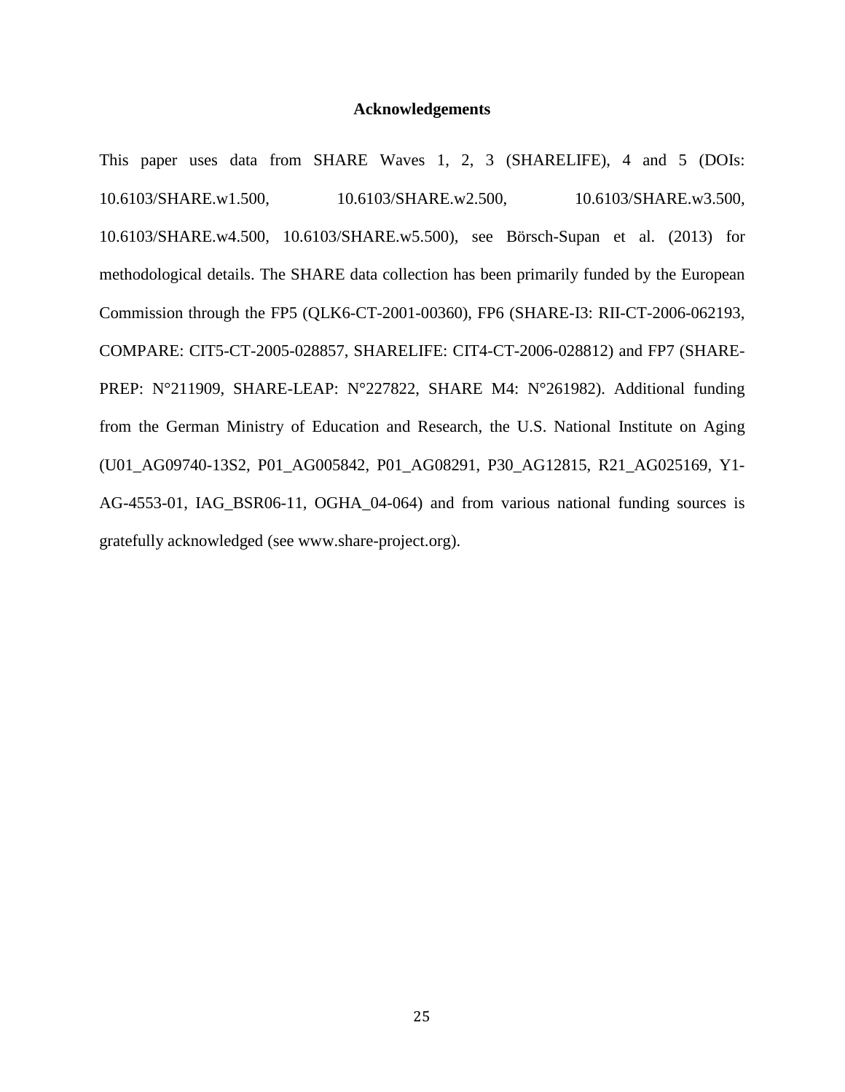#### **Acknowledgements**

This paper uses data from SHARE Waves 1, 2, 3 (SHARELIFE), 4 and 5 (DOIs: 10.6103/SHARE.w1.500, 10.6103/SHARE.w2.500, 10.6103/SHARE.w3.500, 10.6103/SHARE.w4.500, 10.6103/SHARE.w5.500), see Börsch-Supan et al. (2013) for methodological details. The SHARE data collection has been primarily funded by the European Commission through the FP5 (QLK6-CT-2001-00360), FP6 (SHARE-I3: RII-CT-2006-062193, COMPARE: CIT5-CT-2005-028857, SHARELIFE: CIT4-CT-2006-028812) and FP7 (SHARE-PREP: N°211909, SHARE-LEAP: N°227822, SHARE M4: N°261982). Additional funding from the German Ministry of Education and Research, the U.S. National Institute on Aging (U01\_AG09740-13S2, P01\_AG005842, P01\_AG08291, P30\_AG12815, R21\_AG025169, Y1- AG-4553-01, IAG\_BSR06-11, OGHA\_04-064) and from various national funding sources is gratefully acknowledged (see www.share-project.org).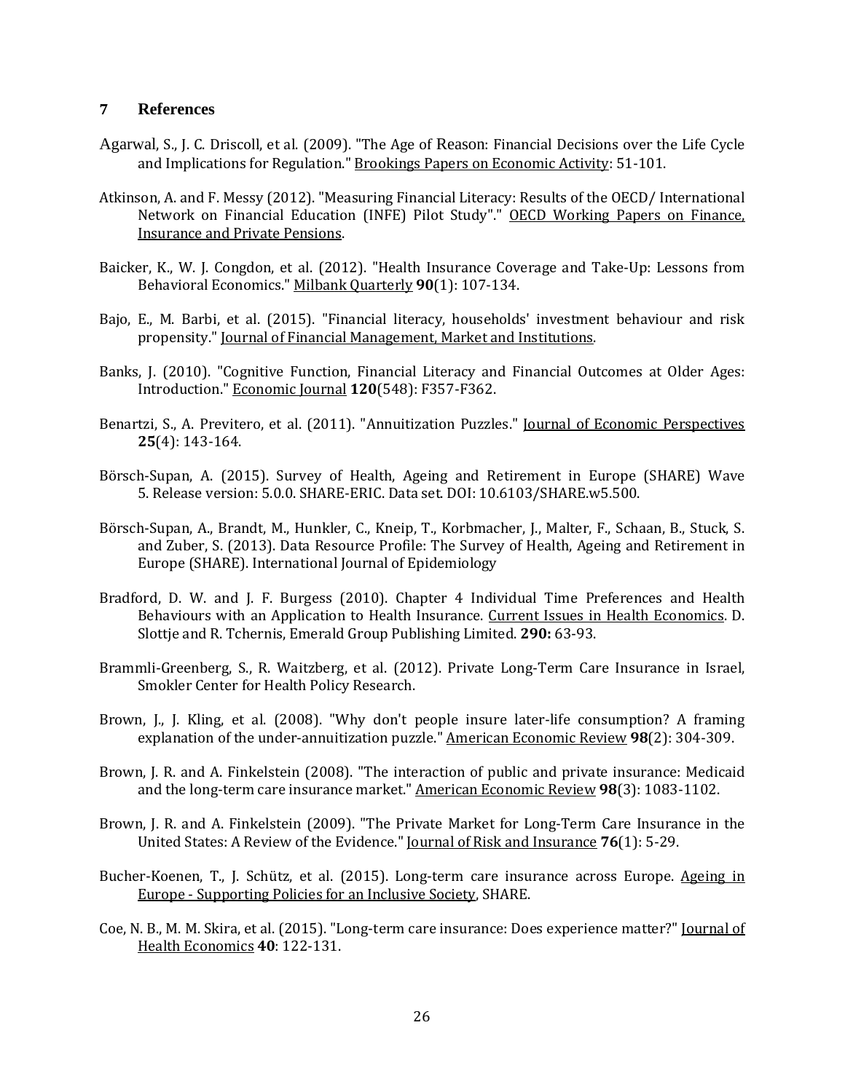#### **7 References**

- <span id="page-26-3"></span>Agarwal, S., J. C. Driscoll, et al. (2009). "The Age of Reason: Financial Decisions over the Life Cycle and Implications for Regulation." Brookings Papers on Economic Activity: 51-101.
- <span id="page-26-11"></span>Atkinson, A. and F. Messy (2012). "Measuring Financial Literacy: Results of the OECD/ International Network on Financial Education (INFE) Pilot Study"." OECD Working Papers on Finance, Insurance and Private Pensions.
- <span id="page-26-7"></span>Baicker, K., W. J. Congdon, et al. (2012). "Health Insurance Coverage and Take-Up: Lessons from Behavioral Economics." Milbank Quarterly **90**(1): 107-134.
- <span id="page-26-12"></span>Bajo, E., M. Barbi, et al. (2015). "Financial literacy, households' investment behaviour and risk propensity." Journal of Financial Management, Market and Institutions.
- <span id="page-26-4"></span>Banks, J. (2010). "Cognitive Function, Financial Literacy and Financial Outcomes at Older Ages: Introduction." Economic Journal **120**(548): F357-F362.
- <span id="page-26-8"></span>Benartzi, S., A. Previtero, et al. (2011). "Annuitization Puzzles." Journal of Economic Perspectives **25**(4): 143-164.
- Börsch-Supan, A. (2015). Survey of Health, Ageing and Retirement in Europe (SHARE) Wave 5. Release version: 5.0.0. SHARE-ERIC. Data set. DOI: 10.6103/SHARE.w5.500.
- Börsch-Supan, A., Brandt, M., Hunkler, C., Kneip, T., Korbmacher, J., Malter, F., Schaan, B., Stuck, S. and Zuber, S. (2013). Data Resource Profile: The Survey of Health, Ageing and Retirement in Europe (SHARE). International Journal of Epidemiology
- <span id="page-26-5"></span>Bradford, D. W. and J. F. Burgess (2010). Chapter 4 Individual Time Preferences and Health Behaviours with an Application to Health Insurance. Current Issues in Health Economics. D. Slottje and R. Tchernis, Emerald Group Publishing Limited. **290:** 63-93.
- <span id="page-26-6"></span>Brammli-Greenberg, S., R. Waitzberg, et al. (2012). Private Long-Term Care Insurance in Israel, Smokler Center for Health Policy Research.
- <span id="page-26-9"></span>Brown, J., J. Kling, et al. (2008). "Why don't people insure later-life consumption? A framing explanation of the under-annuitization puzzle." American Economic Review **98**(2): 304-309.
- <span id="page-26-1"></span>Brown, J. R. and A. Finkelstein (2008). "The interaction of public and private insurance: Medicaid and the long-term care insurance market." American Economic Review **98**(3): 1083-1102.
- <span id="page-26-0"></span>Brown, J. R. and A. Finkelstein (2009). "The Private Market for Long-Term Care Insurance in the United States: A Review of the Evidence." Journal of Risk and Insurance **76**(1): 5-29.
- <span id="page-26-10"></span>Bucher-Koenen, T., J. Schütz, et al. (2015). Long-term care insurance across Europe. Ageing in Europe - Supporting Policies for an Inclusive Society, SHARE.
- <span id="page-26-2"></span>Coe, N. B., M. M. Skira, et al. (2015). "Long-term care insurance: Does experience matter?" Journal of Health Economics **40**: 122-131.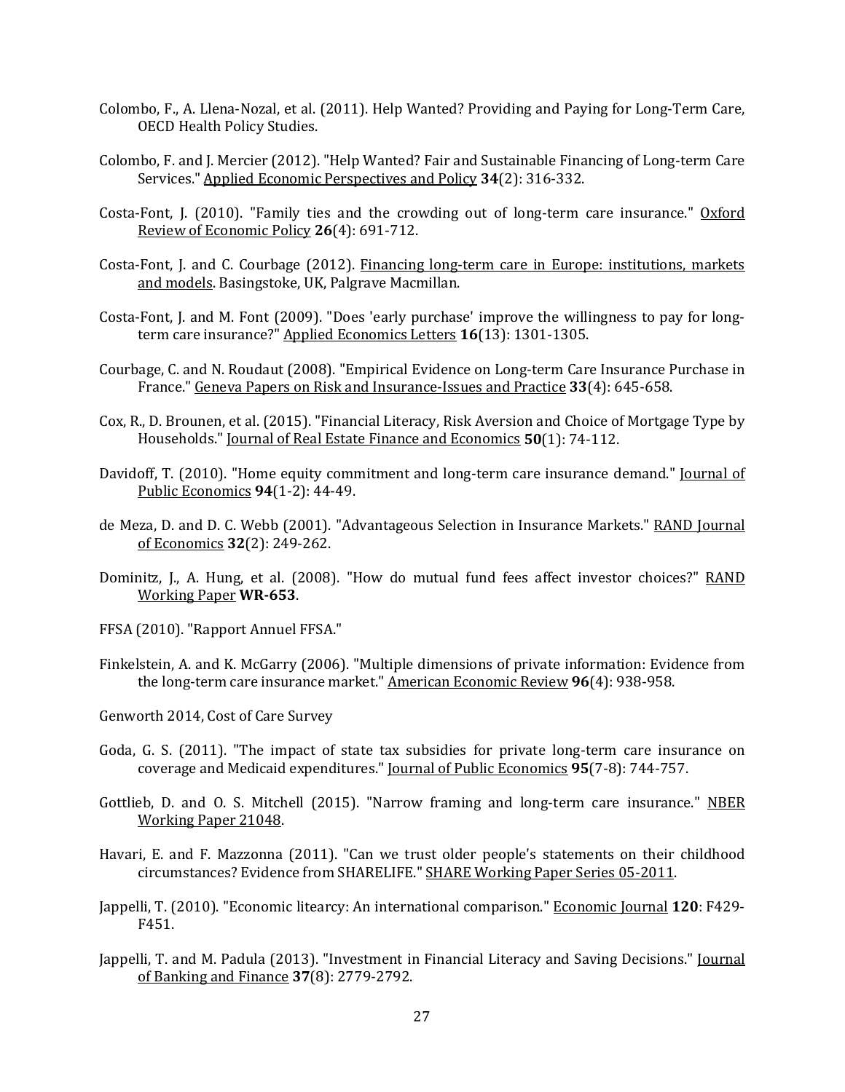- <span id="page-27-2"></span>Colombo, F., A. Llena-Nozal, et al. (2011). Help Wanted? Providing and Paying for Long-Term Care, OECD Health Policy Studies.
- <span id="page-27-0"></span>Colombo, F. and J. Mercier (2012). "Help Wanted? Fair and Sustainable Financing of Long-term Care Services." Applied Economic Perspectives and Policy **34**(2): 316-332.
- <span id="page-27-4"></span>Costa-Font, J. (2010). "Family ties and the crowding out of long-term care insurance." Oxford Review of Economic Policy **26**(4): 691-712.
- <span id="page-27-1"></span>Costa-Font, J. and C. Courbage (2012). Financing long-term care in Europe: institutions, markets and models. Basingstoke, UK, Palgrave Macmillan.
- <span id="page-27-5"></span>Costa-Font, J. and M. Font (2009). "Does 'early purchase' improve the willingness to pay for longterm care insurance?" Applied Economics Letters **16**(13): 1301-1305.
- <span id="page-27-7"></span>Courbage, C. and N. Roudaut (2008). "Empirical Evidence on Long-term Care Insurance Purchase in France." Geneva Papers on Risk and Insurance-Issues and Practice **33**(4): 645-658.
- <span id="page-27-14"></span>Cox, R., D. Brounen, et al. (2015). "Financial Literacy, Risk Aversion and Choice of Mortgage Type by Households." Journal of Real Estate Finance and Economics **50**(1): 74-112.
- <span id="page-27-3"></span>Davidoff, T. (2010). "Home equity commitment and long-term care insurance demand." Journal of Public Economics **94**(1-2): 44-49.
- <span id="page-27-8"></span>de Meza, D. and D. C. Webb (2001). "Advantageous Selection in Insurance Markets." RAND Journal of Economics **32**(2): 249-262.
- <span id="page-27-9"></span>Dominitz, J., A. Hung, et al. (2008). "How do mutual fund fees affect investor choices?" RAND Working Paper **WR-653**.
- <span id="page-27-6"></span>FFSA (2010). "Rapport Annuel FFSA."
- <span id="page-27-11"></span>Finkelstein, A. and K. McGarry (2006). "Multiple dimensions of private information: Evidence from the long-term care insurance market." American Economic Review **96**(4): 938-958.
- <span id="page-27-16"></span>Genworth 2014, Cost of Care Survey
- Goda, G. S. (2011). "The impact of state tax subsidies for private long-term care insurance on coverage and Medicaid expenditures." Journal of Public Economics **95**(7-8): 744-757.
- <span id="page-27-10"></span>Gottlieb, D. and O. S. Mitchell (2015). "Narrow framing and long-term care insurance." NBER Working Paper 21048.
- <span id="page-27-15"></span>Havari, E. and F. Mazzonna (2011). "Can we trust older people's statements on their childhood circumstances? Evidence from SHARELIFE." SHARE Working Paper Series 05-2011.
- <span id="page-27-13"></span>Jappelli, T. (2010). "Economic litearcy: An international comparison." Economic Journal **120**: F429- F451.
- <span id="page-27-12"></span>Jappelli, T. and M. Padula (2013). "Investment in Financial Literacy and Saving Decisions." Journal of Banking and Finance **37**(8): 2779-2792.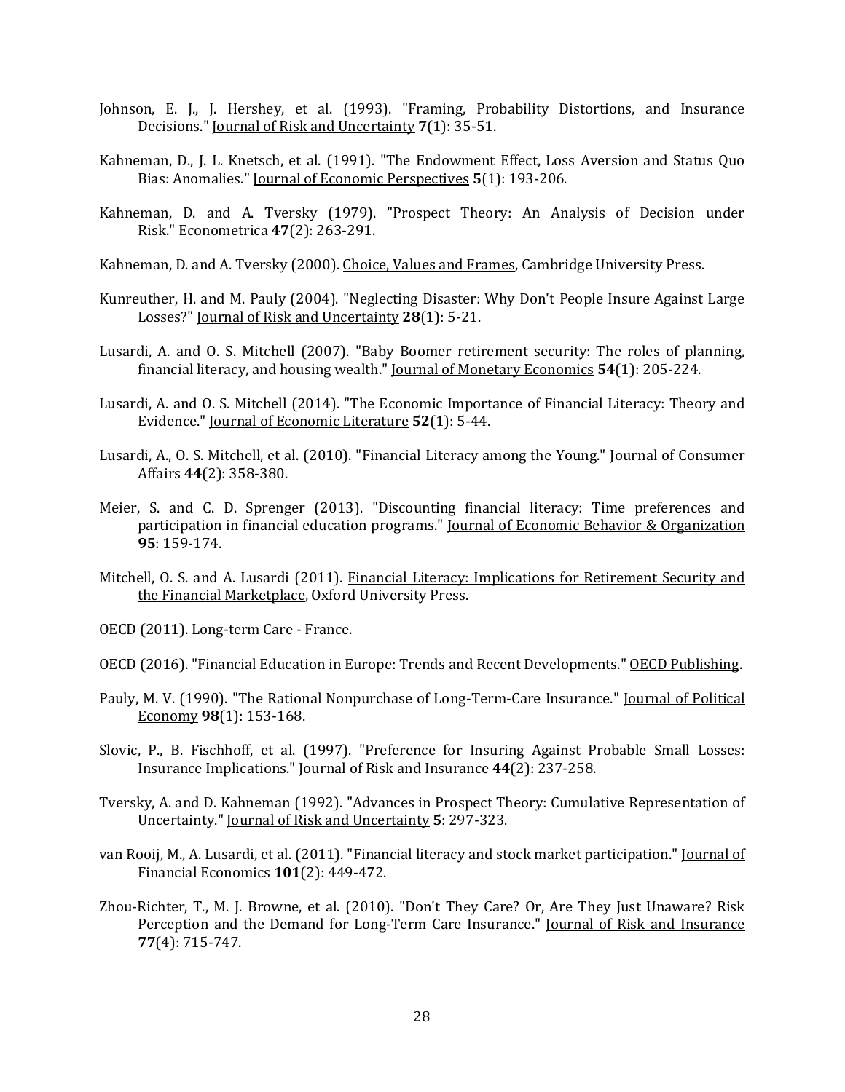- <span id="page-28-5"></span>Johnson, E. J., J. Hershey, et al. (1993). "Framing, Probability Distortions, and Insurance Decisions." Journal of Risk and Uncertainty **7**(1): 35-51.
- <span id="page-28-10"></span>Kahneman, D., J. L. Knetsch, et al. (1991). "The Endowment Effect, Loss Aversion and Status Quo Bias: Anomalies." Journal of Economic Perspectives **5**(1): 193-206.
- <span id="page-28-7"></span>Kahneman, D. and A. Tversky (1979). "Prospect Theory: An Analysis of Decision under Risk." Econometrica **47**(2): 263-291.
- <span id="page-28-3"></span>Kahneman, D. and A. Tversky (2000). Choice, Values and Frames, Cambridge University Press.
- <span id="page-28-6"></span>Kunreuther, H. and M. Pauly (2004). "Neglecting Disaster: Why Don't People Insure Against Large Losses?" Journal of Risk and Uncertainty **28**(1): 5-21.
- <span id="page-28-12"></span>Lusardi, A. and O. S. Mitchell (2007). "Baby Boomer retirement security: The roles of planning, financial literacy, and housing wealth." Journal of Monetary Economics **54**(1): 205-224.
- <span id="page-28-14"></span>Lusardi, A. and O. S. Mitchell (2014). "The Economic Importance of Financial Literacy: Theory and Evidence." Journal of Economic Literature **52**(1): 5-44.
- <span id="page-28-13"></span>Lusardi, A., O. S. Mitchell, et al. (2010). "Financial Literacy among the Young." Journal of Consumer Affairs **44**(2): 358-380.
- <span id="page-28-15"></span>Meier, S. and C. D. Sprenger (2013). "Discounting financial literacy: Time preferences and participation in financial education programs." Journal of Economic Behavior & Organization **95**: 159-174.
- <span id="page-28-11"></span>Mitchell, O. S. and A. Lusardi (2011). Financial Literacy: Implications for Retirement Security and the Financial Marketplace, Oxford University Press.
- <span id="page-28-4"></span>OECD (2011). Long-term Care - France.
- <span id="page-28-2"></span>OECD (2016). "Financial Education in Europe: Trends and Recent Developments." OECD Publishing.
- <span id="page-28-0"></span>Pauly, M. V. (1990). "The Rational Nonpurchase of Long-Term-Care Insurance." Journal of Political Economy **98**(1): 153-168.
- <span id="page-28-9"></span>Slovic, P., B. Fischhoff, et al. (1997). "Preference for Insuring Against Probable Small Losses: Insurance Implications." Journal of Risk and Insurance **44**(2): 237-258.
- <span id="page-28-8"></span>Tversky, A. and D. Kahneman (1992). "Advances in Prospect Theory: Cumulative Representation of Uncertainty." Journal of Risk and Uncertainty **5**: 297-323.
- <span id="page-28-16"></span>van Rooij, M., A. Lusardi, et al. (2011). "Financial literacy and stock market participation." Journal of Financial Economics **101**(2): 449-472.
- <span id="page-28-1"></span>Zhou-Richter, T., M. J. Browne, et al. (2010). "Don't They Care? Or, Are They Just Unaware? Risk Perception and the Demand for Long-Term Care Insurance." Journal of Risk and Insurance **77**(4): 715-747.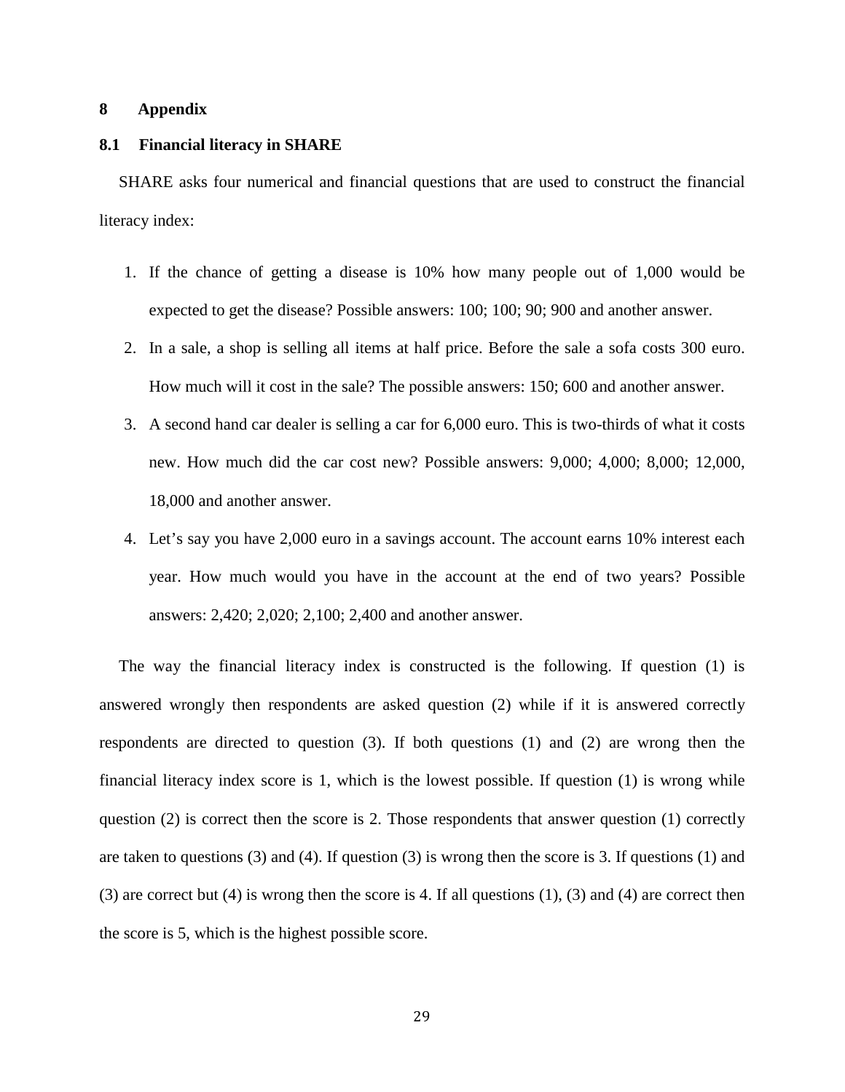#### **8 Appendix**

#### **8.1 Financial literacy in SHARE**

SHARE asks four numerical and financial questions that are used to construct the financial literacy index:

- 1. If the chance of getting a disease is 10% how many people out of 1,000 would be expected to get the disease? Possible answers: 100; 100; 90; 900 and another answer.
- 2. In a sale, a shop is selling all items at half price. Before the sale a sofa costs 300 euro. How much will it cost in the sale? The possible answers: 150; 600 and another answer.
- 3. A second hand car dealer is selling a car for 6,000 euro. This is two-thirds of what it costs new. How much did the car cost new? Possible answers: 9,000; 4,000; 8,000; 12,000, 18,000 and another answer.
- 4. Let's say you have 2,000 euro in a savings account. The account earns 10% interest each year. How much would you have in the account at the end of two years? Possible answers: 2,420; 2,020; 2,100; 2,400 and another answer.

The way the financial literacy index is constructed is the following. If question (1) is answered wrongly then respondents are asked question (2) while if it is answered correctly respondents are directed to question (3). If both questions (1) and (2) are wrong then the financial literacy index score is 1, which is the lowest possible. If question (1) is wrong while question (2) is correct then the score is 2. Those respondents that answer question (1) correctly are taken to questions (3) and (4). If question (3) is wrong then the score is 3. If questions (1) and (3) are correct but (4) is wrong then the score is 4. If all questions (1), (3) and (4) are correct then the score is 5, which is the highest possible score.